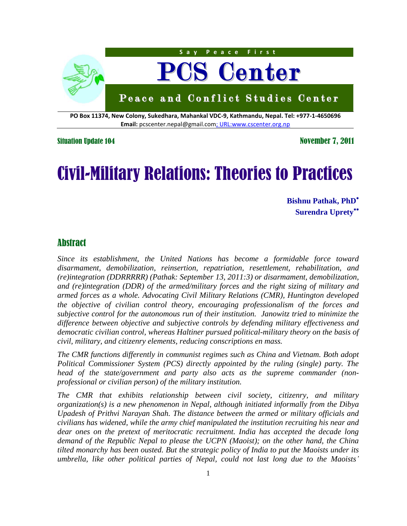

**PO Box 11374, New Colony, Sukedhara, Mahankal VDC-9, Kathmandu, Nepal. Tel: +977-1-4650696 Email:** pcscenter.nepal@gmail.com; URL:www.cscenter.org.np

Situation Update 104 November 7, 2011

# Civil-Military Relations: Theories to Practices

**Bishnu Pathak, PhD Surendra Uprety**

## Abstract

*Since its establishment, the United Nations has become a formidable force toward disarmament, demobilization, reinsertion, repatriation, resettlement, rehabilitation, and (re)integration (DDRRRRR) (Pathak: September 13, 2011:3) or disarmament, demobilization, and (re)integration (DDR) of the armed/military forces and the right sizing of military and armed forces as a whole. Advocating Civil Military Relations (CMR), Huntington developed the objective of civilian control theory, encouraging professionalism of the forces and subjective control for the autonomous run of their institution. Janowitz tried to minimize the difference between objective and subjective controls by defending military effectiveness and democratic civilian control, whereas Haltiner pursued political-military theory on the basis of civil, military, and citizenry elements, reducing conscriptions en mass.*

*The CMR functions differently in communist regimes such as China and Vietnam. Both adopt Political Commissioner System (PCS) directly appointed by the ruling (single) party. The head of the state/government and party also acts as the supreme commander (nonprofessional or civilian person) of the military institution.* 

*The CMR that exhibits relationship between civil society, citizenry, and military organization(s) is a new phenomenon in Nepal, although initiated informally from the Dibya Upadesh of Prithvi Narayan Shah. The distance between the armed or military officials and civilians has widened, while the army chief manipulated the institution recruiting his near and dear ones on the pretext of meritocratic recruitment. India has accepted the decade long demand of the Republic Nepal to please the UCPN (Maoist); on the other hand, the China tilted monarchy has been ousted. But the strategic policy of India to put the Maoists under its umbrella, like other political parties of Nepal, could not last long due to the Maoists"*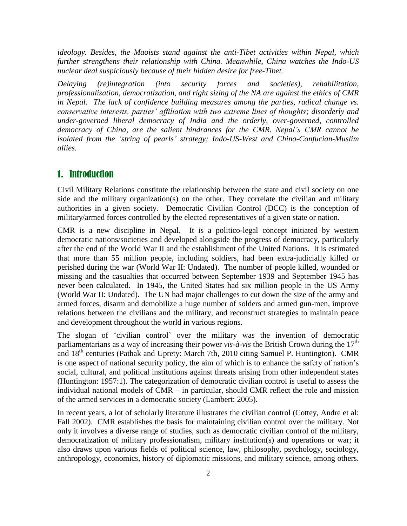*ideology. Besides, the Maoists stand against the anti-Tibet activities within Nepal, which further strengthens their relationship with China. Meanwhile, China watches the Indo-US nuclear deal suspiciously because of their hidden desire for free-Tibet.*

*Delaying (re)integration (into security forces and societies), rehabilitation, professionalization, democratization, and right sizing of the NA are against the ethics of CMR in Nepal. The lack of confidence building measures among the parties, radical change vs. conservative interests, parties" affiliation with two extreme lines of thoughts; disorderly and under-governed liberal democracy of India and the orderly, over-governed, controlled democracy of China, are the salient hindrances for the CMR. Nepal"s CMR cannot be isolated from the "string of pearls" strategy; Indo-US-West and China-Confucian-Muslim allies.*

# 1. Introduction

Civil Military Relations constitute the relationship between the state and civil society on one side and the military organization(s) on the other. They correlate the civilian and military authorities in a given society. Democratic Civilian Control (DCC) is the conception of military/armed forces controlled by the elected representatives of a given state or nation.

CMR is a new discipline in Nepal. It is a politico-legal concept initiated by western democratic nations/societies and developed alongside the progress of democracy, particularly after the end of the World War II and the establishment of the United Nations. It is estimated that more than 55 million people, including soldiers, had been extra-judicially killed or perished during the war (World War II: Undated). The number of people killed, wounded or missing and the casualties that occurred between September 1939 and September 1945 has never been calculated. In 1945, the United States had six million people in the US Army (World War II: Undated). The UN had major challenges to cut down the size of the army and armed forces, disarm and demobilize a huge number of solders and armed gun-men, improve relations between the civilians and the military, and reconstruct strategies to maintain peace and development throughout the world in various regions.

The slogan of "civilian control" over the military was the invention of democratic parliamentarians as a way of increasing their power *vis-à-vis* the British Crown during the  $17<sup>th</sup>$ and  $18<sup>th</sup>$  centuries (Pathak and Uprety: March 7th, 2010 citing Samuel P. Huntington). CMR is one aspect of national security policy, the aim of which is to enhance the safety of nation's social, cultural, and political institutions against threats arising from other independent states (Huntington: 1957:1). The categorization of democratic civilian control is useful to assess the individual national models of CMR – in particular, should CMR reflect the role and mission of the armed services in a democratic society (Lambert: 2005).

In recent years, a lot of scholarly literature illustrates the civilian control (Cottey, Andre et al: Fall 2002). CMR establishes the basis for maintaining civilian control over the military. Not only it involves a diverse range of studies, such as democratic civilian control of the military, democratization of military professionalism, military institution(s) and operations or war; it also draws upon various fields of political science, law, philosophy, psychology, sociology, anthropology, economics, history of diplomatic missions, and military science, among others.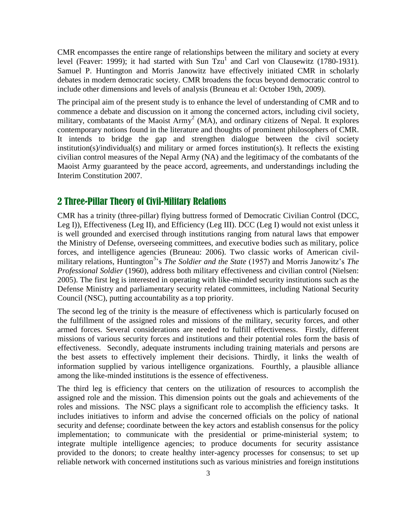CMR encompasses the entire range of relationships between the military and society at every level (Feaver: 1999); it had started with Sun  $Tzu^1$  and Carl von Clausewitz (1780-1931). Samuel P. Huntington and Morris Janowitz have effectively initiated CMR in scholarly debates in modern democratic society. CMR broadens the focus beyond democratic control to include other dimensions and levels of analysis (Bruneau et al: October 19th, 2009).

The principal aim of the present study is to enhance the level of understanding of CMR and to commence a debate and discussion on it among the concerned actors, including civil society, military, combatants of the Maoist Army<sup>2</sup> (MA), and ordinary citizens of Nepal. It explores contemporary notions found in the literature and thoughts of prominent philosophers of CMR. It intends to bridge the gap and strengthen dialogue between the civil society institution(s)/individual(s) and military or armed forces institution(s). It reflects the existing civilian control measures of the Nepal Army (NA) and the legitimacy of the combatants of the Maoist Army guaranteed by the peace accord, agreements, and understandings including the Interim Constitution 2007.

# 2 Three-Pillar Theory of Civil-Military Relations

CMR has a trinity (three-pillar) flying buttress formed of Democratic Civilian Control (DCC, Leg I)), Effectiveness (Leg II), and Efficiency (Leg III). DCC (Leg I) would not exist unless it is well grounded and exercised through institutions ranging from natural laws that empower the Ministry of Defense, overseeing committees, and executive bodies such as military, police forces, and intelligence agencies (Bruneau: 2006). Two classic works of American civilmilitary relations, Huntington<sup>3</sup>'s *The Soldier and the State* (1957) and Morris Janowitz's *The Professional Soldier* (1960), address both military effectiveness and civilian control (Nielsen: 2005). The first leg is interested in operating with like-minded security institutions such as the Defense Ministry and parliamentary security related committees, including National Security Council (NSC), putting accountability as a top priority.

The second leg of the trinity is the measure of effectiveness which is particularly focused on the fulfillment of the assigned roles and missions of the military, security forces, and other armed forces. Several considerations are needed to fulfill effectiveness. Firstly, different missions of various security forces and institutions and their potential roles form the basis of effectiveness. Secondly, adequate instruments including training materials and persons are the best assets to effectively implement their decisions. Thirdly, it links the wealth of information supplied by various intelligence organizations. Fourthly, a plausible alliance among the like-minded institutions is the essence of effectiveness.

The third leg is efficiency that centers on the utilization of resources to accomplish the assigned role and the mission. This dimension points out the goals and achievements of the roles and missions. The NSC plays a significant role to accomplish the efficiency tasks. It includes initiatives to inform and advise the concerned officials on the policy of national security and defense; coordinate between the key actors and establish consensus for the policy implementation; to communicate with the presidential or prime-ministerial system; to integrate multiple intelligence agencies; to produce documents for security assistance provided to the donors; to create healthy inter-agency processes for consensus; to set up reliable network with concerned institutions such as various ministries and foreign institutions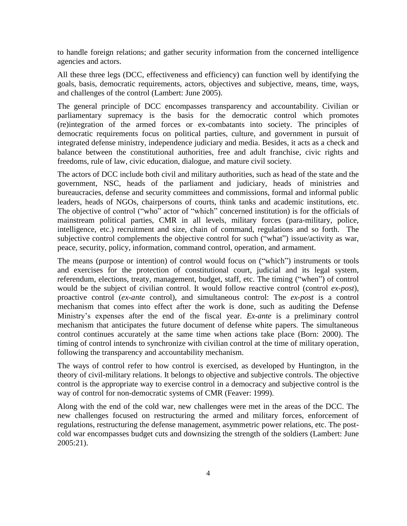to handle foreign relations; and gather security information from the concerned intelligence agencies and actors.

All these three legs (DCC, effectiveness and efficiency) can function well by identifying the goals, basis, democratic requirements, actors, objectives and subjective, means, time, ways, and challenges of the control (Lambert: June 2005).

The general principle of DCC encompasses transparency and accountability. Civilian or parliamentary supremacy is the basis for the democratic control which promotes (re)integration of the armed forces or ex-combatants into society. The principles of democratic requirements focus on political parties, culture, and government in pursuit of integrated defense ministry, independence judiciary and media. Besides, it acts as a check and balance between the constitutional authorities, free and adult franchise, civic rights and freedoms, rule of law, civic education, dialogue, and mature civil society.

The actors of DCC include both civil and military authorities, such as head of the state and the government, NSC, heads of the parliament and judiciary, heads of ministries and bureaucracies, defense and security committees and commissions, formal and informal public leaders, heads of NGOs, chairpersons of courts, think tanks and academic institutions, etc. The objective of control ("who" actor of "which" concerned institution) is for the officials of mainstream political parties, CMR in all levels, military forces (para-military, police, intelligence, etc.) recruitment and size, chain of command, regulations and so forth. The subjective control complements the objective control for such ("what") issue/activity as war, peace, security, policy, information, command control, operation, and armament.

The means (purpose or intention) of control would focus on ("which") instruments or tools and exercises for the protection of constitutional court, judicial and its legal system, referendum, elections, treaty, management, budget, staff, etc. The timing ("when") of control would be the subject of civilian control. It would follow reactive control (control *ex-post*), proactive control (*ex-ante* control), and simultaneous control: The *ex-post* is a control mechanism that comes into effect after the work is done, such as auditing the Defense Ministry's expenses after the end of the fiscal year. *Ex-ante* is a preliminary control mechanism that anticipates the future document of defense white papers. The simultaneous control continues accurately at the same time when actions take place (Born: 2000). The timing of control intends to synchronize with civilian control at the time of military operation, following the transparency and accountability mechanism.

The ways of control refer to how control is exercised, as developed by Huntington, in the theory of civil-military relations. It belongs to objective and subjective controls. The objective control is the appropriate way to exercise control in a democracy and subjective control is the way of control for non-democratic systems of CMR (Feaver: 1999).

Along with the end of the cold war, new challenges were met in the areas of the DCC. The new challenges focused on restructuring the armed and military forces, enforcement of regulations, restructuring the defense management, asymmetric power relations, etc. The postcold war encompasses budget cuts and downsizing the strength of the soldiers (Lambert: June 2005:21).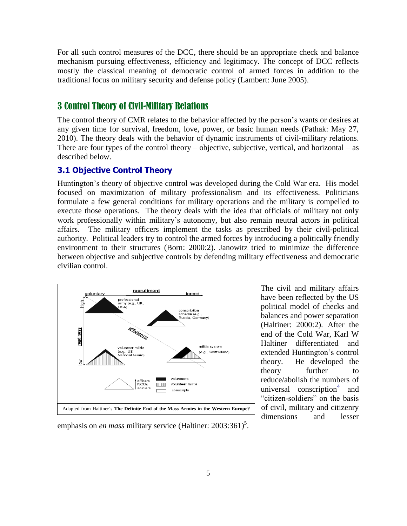For all such control measures of the DCC, there should be an appropriate check and balance mechanism pursuing effectiveness, efficiency and legitimacy. The concept of DCC reflects mostly the classical meaning of democratic control of armed forces in addition to the traditional focus on military security and defense policy (Lambert: June 2005).

## 3 Control Theory of Civil-Military Relations

The control theory of CMR relates to the behavior affected by the person"s wants or desires at any given time for survival, freedom, love, power, or basic human needs (Pathak: May 27, 2010). The theory deals with the behavior of dynamic instruments of civil-military relations. There are four types of the control theory – objective, subjective, vertical, and horizontal – as described below.

#### **3.1 Objective Control Theory**

Huntington's theory of objective control was developed during the Cold War era. His model focused on maximization of military professionalism and its effectiveness. Politicians formulate a few general conditions for military operations and the military is compelled to execute those operations. The theory deals with the idea that officials of military not only work professionally within military"s autonomy, but also remain neutral actors in political affairs. The military officers implement the tasks as prescribed by their civil-political authority. Political leaders try to control the armed forces by introducing a politically friendly environment to their structures (Born: 2000:2). Janowitz tried to minimize the difference between objective and subjective controls by defending military effectiveness and democratic civilian control.



The civil and military affairs have been reflected by the US political model of checks and balances and power separation (Haltiner: 2000:2). After the end of the Cold War, Karl W Haltiner differentiated and extended Huntington"s control theory. He developed the theory further to reduce/abolish the numbers of universal conscription<sup>4</sup> and "citizen-soldiers" on the basis of civil, military and citizenry dimensions and lesser

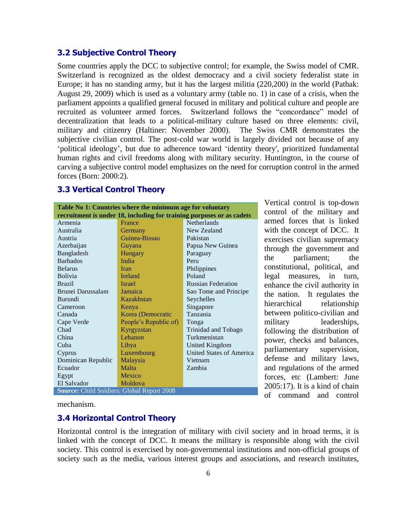#### **3.2 Subjective Control Theory**

Some countries apply the DCC to subjective control; for example, the Swiss model of CMR. Switzerland is recognized as the oldest democracy and a civil society federalist state in Europe; it has no standing army, but it has the largest militia (220,200) in the world (Pathak: August 29, 2009) which is used as a voluntary army (table no. 1) in case of a crisis, when the parliament appoints a qualified general focused in military and political culture and people are recruited as volunteer armed forces. Switzerland follows the "concordance" model of decentralization that leads to a political-military culture based on three elements: civil, military and citizenry (Haltiner: November 2000). The Swiss CMR demonstrates the subjective civilian control. The post-cold war world is largely divided not because of any "political ideology", but due to adherence toward "identity theory', prioritized fundamental human rights and civil freedoms along with military security. Huntington, in the course of carving a subjective control model emphasizes on the need for corruption control in the armed forces (Born: 2000:2).

#### **3.3 Vertical Control Theory**

**Table No 1: Countries where the minimum age for voluntary recruitment is under 18, including for training purposes or as cadets** Armenia Australia Austria Azerbaijan Bangladesh Barbados Belarus Bolivia Brazil Brunei Darussalam Burundi Cameroon Canada Cape Verde Chad China Cuba Cyprus Dominican Republic Ecuador Egypt El Salvador France **Germany** Guinea-Bissau Guyana Hungary India Iran Ireland Israel Jamaica Kazakhstan Kenya Korea (Democratic People"s Republic of) Kyrgyzstan Lebanon Libya Luxembourg Malaysia Malta Mexico Moldova Netherlands New Zealand Pakistan Papua New Guinea Paraguay Peru Philippines Poland Russian Federation Sao Tome and Principe Seychelles Singapore Tanzania Tonga Trinidad and Tobago Turkmenistan United Kingdom United States of America Vietnam Zambia **Source:** Child Soldiers: Global Report 2008

Vertical control is top-down control of the military and armed forces that is linked with the concept of DCC. It exercises civilian supremacy through the government and the parliament; the constitutional, political, and legal measures, in turn, enhance the civil authority in the nation. It regulates the hierarchical relationship between politico-civilian and military leaderships, following the distribution of power, checks and balances, parliamentary supervision, defense and military laws, and regulations of the armed forces, etc (Lambert: June 2005:17). It is a kind of chain of command and control

mechanism.

#### **3.4 Horizontal Control Theory**

Horizontal control is the integration of military with civil society and in broad terms, it is linked with the concept of DCC. It means the military is responsible along with the civil society. This control is exercised by non-governmental institutions and non-official groups of society such as the media, various interest groups and associations, and research institutes,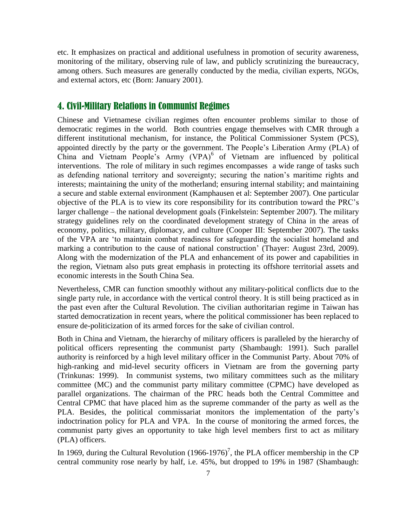etc. It emphasizes on practical and additional usefulness in promotion of security awareness, monitoring of the military, observing rule of law, and publicly scrutinizing the bureaucracy, among others. Such measures are generally conducted by the media, civilian experts, NGOs, and external actors, etc (Born: January 2001).

## 4. Civil-Military Relations in Communist Regimes

Chinese and Vietnamese civilian regimes often encounter problems similar to those of democratic regimes in the world. Both countries engage themselves with CMR through a different institutional mechanism, for instance, the Political Commissioner System (PCS), appointed directly by the party or the government. The People"s Liberation Army (PLA) of China and Vietnam People's Army (VPA)<sup>6</sup> of Vietnam are influenced by political interventions. The role of military in such regimes encompasses a wide range of tasks such as defending national territory and sovereignty; securing the nation"s maritime rights and interests; maintaining the unity of the motherland; ensuring internal stability; and maintaining a secure and stable external environment (Kamphausen et al: September 2007). One particular objective of the PLA is to view its core responsibility for its contribution toward the PRC"s larger challenge – the national development goals (Finkelstein: September 2007). The military strategy guidelines rely on the coordinated development strategy of China in the areas of economy, politics, military, diplomacy, and culture (Cooper III: September 2007). The tasks of the VPA are "to maintain combat readiness for safeguarding the socialist homeland and marking a contribution to the cause of national construction' (Thayer: August 23rd, 2009). Along with the modernization of the PLA and enhancement of its power and capabilities in the region, Vietnam also puts great emphasis in protecting its offshore territorial assets and economic interests in the South China Sea.

Nevertheless, CMR can function smoothly without any military-political conflicts due to the single party rule, in accordance with the vertical control theory. It is still being practiced as in the past even after the Cultural Revolution. The civilian authoritarian regime in Taiwan has started democratization in recent years, where the political commissioner has been replaced to ensure de-politicization of its armed forces for the sake of civilian control.

Both in China and Vietnam, the hierarchy of military officers is paralleled by the hierarchy of political officers representing the communist party (Shambaugh: 1991). Such parallel authority is reinforced by a high level military officer in the Communist Party. About 70% of high-ranking and mid-level security officers in Vietnam are from the governing party (Trinkunas: 1999). In communist systems, two military committees such as the military committee (MC) and the communist party military committee (CPMC) have developed as parallel organizations. The chairman of the PRC heads both the Central Committee and Central CPMC that have placed him as the supreme commander of the party as well as the PLA. Besides, the political commissariat monitors the implementation of the party"s indoctrination policy for PLA and VPA. In the course of monitoring the armed forces, the communist party gives an opportunity to take high level members first to act as military (PLA) officers.

In 1969, during the Cultural Revolution  $(1966-1976)^7$ , the PLA officer membership in the CP central community rose nearly by half, i.e. 45%, but dropped to 19% in 1987 (Shambaugh: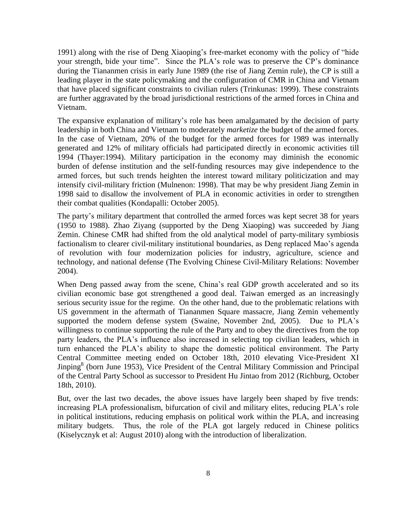1991) along with the rise of Deng Xiaoping"s free-market economy with the policy of "hide your strength, bide your time". Since the PLA"s role was to preserve the CP"s dominance during the Tiananmen crisis in early June 1989 (the rise of Jiang Zemin rule), the CP is still a leading player in the state policymaking and the configuration of CMR in China and Vietnam that have placed significant constraints to civilian rulers (Trinkunas: 1999). These constraints are further aggravated by the broad jurisdictional restrictions of the armed forces in China and Vietnam.

The expansive explanation of military's role has been amalgamated by the decision of party leadership in both China and Vietnam to moderately *marketize* the budget of the armed forces. In the case of Vietnam, 20% of the budget for the armed forces for 1989 was internally generated and 12% of military officials had participated directly in economic activities till 1994 (Thayer:1994). Military participation in the economy may diminish the economic burden of defense institution and the self-funding resources may give independence to the armed forces, but such trends heighten the interest toward military politicization and may intensify civil-military friction (Mulnenon: 1998). That may be why president Jiang Zemin in 1998 said to disallow the involvement of PLA in economic activities in order to strengthen their combat qualities (Kondapalli: October 2005).

The party"s military department that controlled the armed forces was kept secret 38 for years (1950 to 1988). Zhao Ziyang (supported by the Deng Xiaoping) was succeeded by Jiang Zemin. Chinese CMR had shifted from the old analytical model of party-military symbiosis factionalism to clearer civil-military institutional boundaries, as Deng replaced Mao's agenda of revolution with four modernization policies for industry, agriculture, science and technology, and national defense (The Evolving Chinese Civil-Military Relations: November 2004).

When Deng passed away from the scene, China's real GDP growth accelerated and so its civilian economic base got strengthened a good deal. Taiwan emerged as an increasingly serious security issue for the regime. On the other hand, due to the problematic relations with US government in the aftermath of Tiananmen Square massacre, Jiang Zemin vehemently supported the modern defense system (Swaine, November 2nd, 2005). Due to PLA"s willingness to continue supporting the rule of the Party and to obey the directives from the top party leaders, the PLA"s influence also increased in selecting top civilian leaders, which in turn enhanced the PLA"s ability to shape the domestic political environment. The Party Central Committee meeting ended on October 18th, 2010 elevating Vice-President XI Jinping<sup>8</sup> (born June 1953), Vice President of the Central Military Commission and Principal of the Central Party School as successor to President Hu Jintao from 2012 (Richburg, October 18th, 2010).

But, over the last two decades, the above issues have largely been shaped by five trends: increasing PLA professionalism, bifurcation of civil and military elites, reducing PLA's role in political institutions, reducing emphasis on political work within the PLA, and increasing military budgets. Thus, the role of the PLA got largely reduced in Chinese politics (Kiselycznyk et al: August 2010) along with the introduction of liberalization.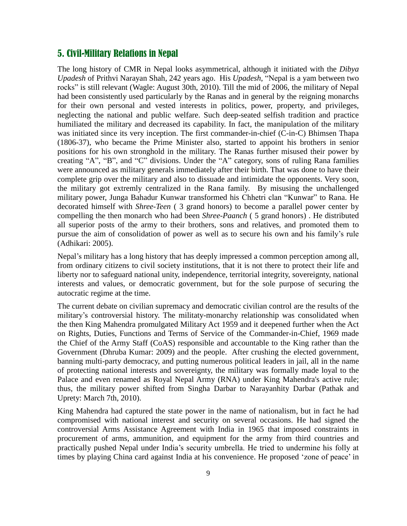# 5. Civil-Military Relations in Nepal

The long history of CMR in Nepal looks asymmetrical, although it initiated with the *Dibya Upadesh* of Prithvi Narayan Shah, 242 years ago. His *Upadesh*, "Nepal is a yam between two rocks" is still relevant (Wagle: August 30th, 2010). Till the mid of 2006, the military of Nepal had been consistently used particularly by the Ranas and in general by the reigning monarchs for their own personal and vested interests in politics, power, property, and privileges, neglecting the national and public welfare. Such deep-seated selfish tradition and practice humiliated the military and decreased its capability. In fact, the manipulation of the military was initiated since its very inception. The first commander-in-chief (C-in-C) Bhimsen Thapa (1806-37), who became the Prime Minister also, started to appoint his brothers in senior positions for his own stronghold in the military. The Ranas further misused their power by creating "A", "B", and "C" divisions. Under the "A" category, sons of ruling Rana families were announced as military generals immediately after their birth. That was done to have their complete grip over the military and also to dissuade and intimidate the opponents. Very soon, the military got extremly centralized in the Rana family. By misusing the unchallenged military power, Junga Bahadur Kunwar transformed his Chhetri clan "Kunwar" to Rana. He decorated himself with *Shree-Teen* ( 3 grand honors) to become a parallel power center by compelling the then monarch who had been *Shree-Paanch* ( 5 grand honors) . He distributed all superior posts of the army to their brothers, sons and relatives, and promoted them to pursue the aim of consolidation of power as well as to secure his own and his family"s rule (Adhikari: 2005).

Nepal"s military has a long history that has deeply impressed a common perception among all, from ordinary citizens to civil society institutions, that it is not there to protect their life and liberty nor to safeguard national unity, independence, territorial integrity, sovereignty, national interests and values, or democratic government, but for the sole purpose of securing the autocratic regime at the time.

The current debate on civilian supremacy and democratic civilian control are the results of the military"s controversial history. The militaty-monarchy relationship was consolidated when the then King Mahendra promulgated Military Act 1959 and it deepened further when the Act on Rights, Duties, Functions and Terms of Service of the Commander-in-Chief, 1969 made the Chief of the Army Staff (CoAS) responsible and accountable to the King rather than the Government (Dhruba Kumar: 2009) and the people. After crushing the elected government, banning multi-party democracy, and putting numerous political leaders in jail, all in the name of protecting national interests and sovereignty, the military was formally made loyal to the Palace and even renamed as Royal Nepal Army (RNA) under King Mahendra's active rule; thus, the military power shifted from Singha Darbar to Narayanhity Darbar (Pathak and Uprety: March 7th, 2010).

King Mahendra had captured the state power in the name of nationalism, but in fact he had compromised with national interest and security on several occasions. He had signed the controversial Arms Assistance Agreement with India in 1965 that imposed constraints in procurement of arms, ammunition, and equipment for the army from third countries and practically pushed Nepal under India"s security umbrella. He tried to undermine his folly at times by playing China card against India at his convenience. He proposed "zone of peace" in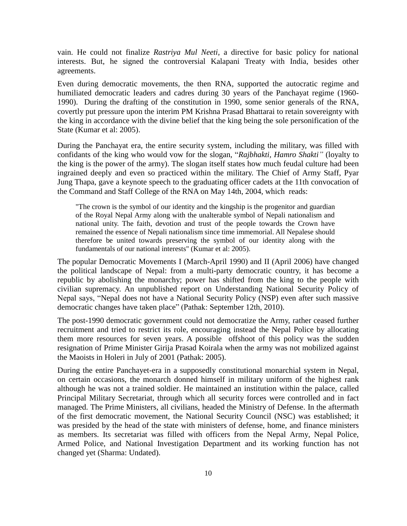vain. He could not finalize *Rastriya Mul Neeti,* a directive for basic policy for national interests. But, he signed the controversial Kalapani Treaty with India, besides other agreements.

Even during democratic movements, the then RNA, supported the autocratic regime and humiliated democratic leaders and cadres during 30 years of the Panchayat regime (1960- 1990). During the drafting of the constitution in 1990, some senior generals of the RNA, covertly put pressure upon the interim PM Krishna Prasad Bhattarai to retain sovereignty with the king in accordance with the divine belief that the king being the sole personification of the State (Kumar et al: 2005).

During the Panchayat era, the entire security system, including the military, was filled with confidants of the king who would vow for the slogan, "*Rajbhakti, Hamro Shakti"* (loyalty to the king is the power of the army). The slogan itself states how much feudal culture had been ingrained deeply and even so practiced within the military. The Chief of Army Staff, Pyar Jung Thapa, gave a keynote speech to the graduating officer cadets at the 11th convocation of the Command and Staff College of the RNA on May 14th, 2004, which reads:

"The crown is the symbol of our identity and the kingship is the progenitor and guardian of the Royal Nepal Army along with the unalterable symbol of Nepali nationalism and national unity. The faith, devotion and trust of the people towards the Crown have remained the essence of Nepali nationalism since time immemorial. All Nepalese should therefore be united towards preserving the symbol of our identity along with the fundamentals of our national interests" (Kumar et al: 2005).

The popular Democratic Movements I (March-April 1990) and II (April 2006) have changed the political landscape of Nepal: from a multi-party democratic country, it has become a republic by abolishing the monarchy; power has shifted from the king to the people with civilian supremacy. An unpublished report on Understanding National Security Policy of Nepal says, "Nepal does not have a National Security Policy (NSP) even after such massive democratic changes have taken place" (Pathak: September 12th, 2010).

The post-1990 democratic government could not democratize the Army, rather ceased further recruitment and tried to restrict its role, encouraging instead the Nepal Police by allocating them more resources for seven years. A possible offshoot of this policy was the sudden resignation of Prime Minister Girija Prasad Koirala when the army was not mobilized against the Maoists in Holeri in July of 2001 (Pathak: 2005).

During the entire Panchayet-era in a supposedly constitutional monarchial system in Nepal, on certain occasions, the monarch donned himself in military uniform of the highest rank although he was not a trained soldier. He maintained an institution within the palace, called Principal Military Secretariat, through which all security forces were controlled and in fact managed. The Prime Ministers, all civilians, headed the Ministry of Defense. In the aftermath of the first democratic movement, the National Security Council (NSC) was established; it was presided by the head of the state with ministers of defense, home, and finance ministers as members. Its secretariat was filled with officers from the Nepal Army, Nepal Police, Armed Police, and National Investigation Department and its working function has not changed yet (Sharma: Undated).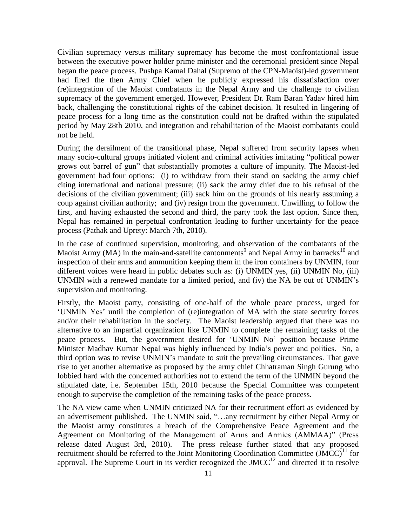Civilian supremacy versus military supremacy has become the most confrontational issue between the executive power holder prime minister and the ceremonial president since Nepal began the peace process. Pushpa Kamal Dahal (Supremo of the CPN-Maoist)-led government had fired the then Army Chief when he publicly expressed his dissatisfaction over (re)integration of the Maoist combatants in the Nepal Army and the challenge to civilian supremacy of the government emerged. However, President Dr. Ram Baran Yadav hired him back, challenging the constitutional rights of the cabinet decision. It resulted in lingering of peace process for a long time as the constitution could not be drafted within the stipulated period by May 28th 2010, and integration and rehabilitation of the Maoist combatants could not be held.

During the derailment of the transitional phase, Nepal suffered from security lapses when many socio-cultural groups initiated violent and criminal activities imitating "political power grows out barrel of gun" that substantially promotes a culture of impunity. The Maoist-led government had four options: (i) to withdraw from their stand on sacking the army chief citing international and national pressure; (ii) sack the army chief due to his refusal of the decisions of the civilian government; (iii) sack him on the grounds of his nearly assuming a coup against civilian authority; and (iv) resign from the government. Unwilling, to follow the first, and having exhausted the second and third, the party took the last option. Since then, Nepal has remained in perpetual confrontation leading to further uncertainty for the peace process (Pathak and Uprety: March 7th, 2010).

In the case of continued supervision, monitoring, and observation of the combatants of the Maoist Army (MA) in the main-and-satellite cantonments<sup>9</sup> and Nepal Army in barracks<sup>10</sup> and inspection of their arms and ammunition keeping them in the iron containers by UNMIN, four different voices were heard in public debates such as: (i) UNMIN yes, (ii) UNMIN No, (iii) UNMIN with a renewed mandate for a limited period, and (iv) the NA be out of UNMIN"s supervision and monitoring.

Firstly, the Maoist party, consisting of one-half of the whole peace process, urged for "UNMIN Yes" until the completion of (re)integration of MA with the state security forces and/or their rehabilitation in the society. The Maoist leadership argued that there was no alternative to an impartial organization like UNMIN to complete the remaining tasks of the peace process. But, the government desired for "UNMIN No" position because Prime Minister Madhav Kumar Nepal was highly influenced by India"s power and politics. So, a third option was to revise UNMIN"s mandate to suit the prevailing circumstances. That gave rise to yet another alternative as proposed by the army chief Chhatraman Singh Gurung who lobbied hard with the concerned authorities not to extend the term of the UNMIN beyond the stipulated date, i.e. September 15th, 2010 because the Special Committee was competent enough to supervise the completion of the remaining tasks of the peace process.

The NA view came when UNMIN criticized NA for their recruitment effort as evidenced by an advertisement published. The UNMIN said, "…any recruitment by either Nepal Army or the Maoist army constitutes a breach of the Comprehensive Peace Agreement and the Agreement on Monitoring of the Management of Arms and Armies (AMMAA)" (Press release dated August 3rd, 2010). The press release further stated that any proposed recruitment should be referred to the Joint Monitoring Coordination Committee  $(\tilde{MCC})^{11}$  for approval. The Supreme Court in its verdict recognized the  $JMCC^{12}$  and directed it to resolve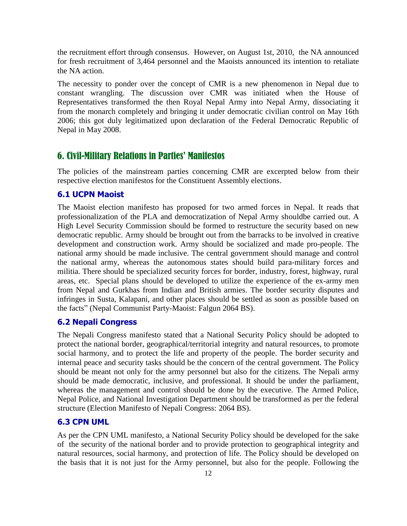the recruitment effort through consensus. However, on August 1st, 2010, the NA announced for fresh recruitment of 3,464 personnel and the Maoists announced its intention to retaliate the NA action.

The necessity to ponder over the concept of CMR is a new phenomenon in Nepal due to constant wrangling. The discussion over CMR was initiated when the House of Representatives transformed the then Royal Nepal Army into Nepal Army, dissociating it from the monarch completely and bringing it under democratic civilian control on May 16th 2006; this got duly legitimatized upon declaration of the Federal Democratic Republic of Nepal in May 2008.

# 6. Civil-Military Relations in Parties' Manifestos

The policies of the mainstream parties concerning CMR are excerpted below from their respective election manifestos for the Constituent Assembly elections.

## **6.1 UCPN Maoist**

The Maoist election manifesto has proposed for two armed forces in Nepal. It reads that professionalization of the PLA and democratization of Nepal Army shouldbe carried out. A High Level Security Commission should be formed to restructure the security based on new democratic republic. Army should be brought out from the barracks to be involved in creative development and construction work. Army should be socialized and made pro-people. The national army should be made inclusive. The central government should manage and control the national army, whereas the autonomous states should build para-military forces and militia. There should be specialized security forces for border, industry, forest, highway, rural areas, etc. Special plans should be developed to utilize the experience of the ex-army men from Nepal and Gurkhas from Indian and British armies. The border security disputes and infringes in Susta, Kalapani, and other places should be settled as soon as possible based on the facts" (Nepal Communist Party-Maoist: Falgun 2064 BS).

#### **6.2 Nepali Congress**

The Nepali Congress manifesto stated that a National Security Policy should be adopted to protect the national border, geographical/territorial integrity and natural resources, to promote social harmony, and to protect the life and property of the people. The border security and internal peace and security tasks should be the concern of the central government. The Policy should be meant not only for the army personnel but also for the citizens. The Nepali army should be made democratic, inclusive, and professional. It should be under the parliament, whereas the management and control should be done by the executive. The Armed Police, Nepal Police, and National Investigation Department should be transformed as per the federal structure (Election Manifesto of Nepali Congress: 2064 BS).

#### **6.3 CPN UML**

As per the CPN UML manifesto, a National Security Policy should be developed for the sake of the security of the national border and to provide protection to geographical integrity and natural resources, social harmony, and protection of life. The Policy should be developed on the basis that it is not just for the Army personnel, but also for the people. Following the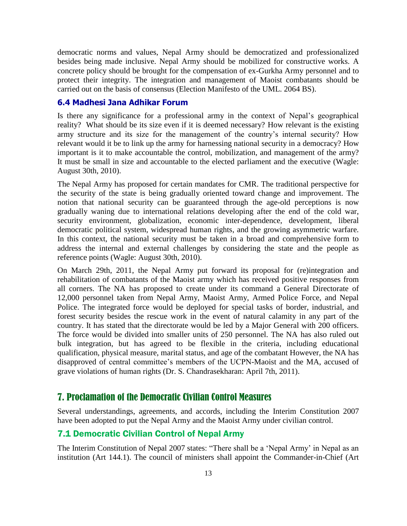democratic norms and values, Nepal Army should be democratized and professionalized besides being made inclusive. Nepal Army should be mobilized for constructive works. A concrete policy should be brought for the compensation of ex-Gurkha Army personnel and to protect their integrity. The integration and management of Maoist combatants should be carried out on the basis of consensus (Election Manifesto of the UML. 2064 BS).

## **6.4 Madhesi Jana Adhikar Forum**

Is there any significance for a professional army in the context of Nepal"s geographical reality? What should be its size even if it is deemed necessary? How relevant is the existing army structure and its size for the management of the country's internal security? How relevant would it be to link up the army for harnessing national security in a democracy? How important is it to make accountable the control, mobilization, and management of the army? It must be small in size and accountable to the elected parliament and the executive (Wagle: August 30th, 2010).

The Nepal Army has proposed for certain mandates for CMR. The traditional perspective for the security of the state is being gradually oriented toward change and improvement. The notion that national security can be guaranteed through the age-old perceptions is now gradually waning due to international relations developing after the end of the cold war, security environment, globalization, economic inter-dependence, development, liberal democratic political system, widespread human rights, and the growing asymmetric warfare. In this context, the national security must be taken in a broad and comprehensive form to address the internal and external challenges by considering the state and the people as reference points (Wagle: August 30th, 2010).

On March 29th, 2011, the Nepal Army put forward its proposal for (re)integration and rehabilitation of combatants of the Maoist army which has received positive responses from all corners. The NA has proposed to create under its command a General Directorate of 12,000 personnel taken from Nepal Army, Maoist Army, Armed Police Force, and Nepal Police. The integrated force would be deployed for special tasks of border, industrial, and forest security besides the rescue work in the event of natural calamity in any part of the country. It has stated that the directorate would be led by a Major General with 200 officers. The force would be divided into smaller units of 250 personnel. The NA has also ruled out bulk integration, but has agreed to be flexible in the criteria, including educational qualification, physical measure, marital status, and age of the combatant However, the NA has disapproved of central committee"s members of the UCPN-Maoist and the MA, accused of grave violations of human rights (Dr. S. Chandrasekharan: April 7th, 2011).

## 7. Proclamation of the Democratic Civilian Control Measures

Several understandings, agreements, and accords, including the Interim Constitution 2007 have been adopted to put the Nepal Army and the Maoist Army under civilian control.

### 7.1 Democratic Civilian Control of Nepal Army

The Interim Constitution of Nepal 2007 states: "There shall be a "Nepal Army" in Nepal as an institution (Art 144.1). The council of ministers shall appoint the Commander-in-Chief (Art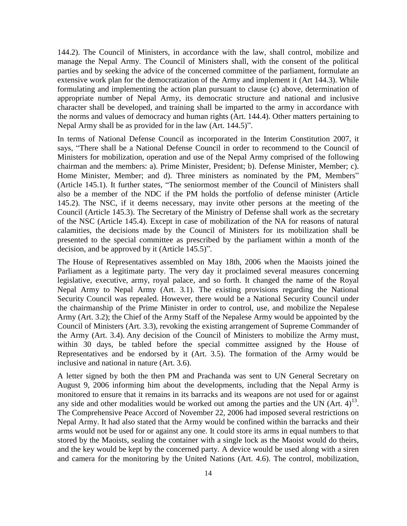144.2). The Council of Ministers, in accordance with the law, shall control, mobilize and manage the Nepal Army. The Council of Ministers shall, with the consent of the political parties and by seeking the advice of the concerned committee of the parliament, formulate an extensive work plan for the democratization of the Army and implement it (Art 144.3). While formulating and implementing the action plan pursuant to clause (c) above, determination of appropriate number of Nepal Army, its democratic structure and national and inclusive character shall be developed, and training shall be imparted to the army in accordance with the norms and values of democracy and human rights (Art. 144.4). Other matters pertaining to Nepal Army shall be as provided for in the law (Art. 144.5)".

In terms of National Defense Council as incorporated in the Interim Constitution 2007, it says, "There shall be a National Defense Council in order to recommend to the Council of Ministers for mobilization, operation and use of the Nepal Army comprised of the following chairman and the members: a). Prime Minister, President; b). Defense Minister, Member; c). Home Minister, Member; and d). Three ministers as nominated by the PM, Members" (Article 145.1). It further states, "The seniormost member of the Council of Ministers shall also be a member of the NDC if the PM holds the portfolio of defense minister (Article 145.2). The NSC, if it deems necessary, may invite other persons at the meeting of the Council (Article 145.3). The Secretary of the Ministry of Defense shall work as the secretary of the NSC (Article 145.4). Except in case of mobilization of the NA for reasons of natural calamities, the decisions made by the Council of Ministers for its mobilization shall be presented to the special committee as prescribed by the parliament within a month of the decision, and be approved by it (Article 145.5)".

The House of Representatives assembled on May 18th, 2006 when the Maoists joined the Parliament as a legitimate party. The very day it proclaimed several measures concerning legislative, executive, army, royal palace, and so forth. It changed the name of the Royal Nepal Army to Nepal Army (Art. 3.1). The existing provisions regarding the National Security Council was repealed. However, there would be a National Security Council under the chairmanship of the Prime Minister in order to control, use, and mobilize the Nepalese Army (Art. 3.2); the Chief of the Army Staff of the Nepalese Army would be appointed by the Council of Ministers (Art. 3.3), revoking the existing arrangement of Supreme Commander of the Army (Art. 3.4). Any decision of the Council of Ministers to mobilize the Army must, within 30 days, be tabled before the special committee assigned by the House of Representatives and be endorsed by it (Art. 3.5). The formation of the Army would be inclusive and national in nature (Art. 3.6).

A letter signed by both the then PM and Prachanda was sent to UN General Secretary on August 9, 2006 informing him about the developments, including that the Nepal Army is monitored to ensure that it remains in its barracks and its weapons are not used for or against any side and other modalities would be worked out among the parties and the UN  $(Art. 4)^{13}$ . The Comprehensive Peace Accord of November 22, 2006 had imposed several restrictions on Nepal Army. It had also stated that the Army would be confined within the barracks and their arms would not be used for or against any one. It could store its arms in equal numbers to that stored by the Maoists, sealing the container with a single lock as the Maoist would do theirs, and the key would be kept by the concerned party. A device would be used along with a siren and camera for the monitoring by the United Nations (Art. 4.6). The control, mobilization,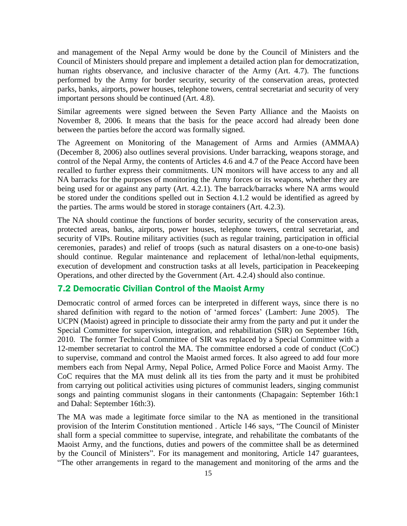and management of the Nepal Army would be done by the Council of Ministers and the Council of Ministers should prepare and implement a detailed action plan for democratization, human rights observance, and inclusive character of the Army (Art. 4.7). The functions performed by the Army for border security, security of the conservation areas, protected parks, banks, airports, power houses, telephone towers, central secretariat and security of very important persons should be continued (Art. 4.8).

Similar agreements were signed between the Seven Party Alliance and the Maoists on November 8, 2006. It means that the basis for the peace accord had already been done between the parties before the accord was formally signed.

The Agreement on Monitoring of the Management of Arms and Armies (AMMAA) (December 8, 2006) also outlines several provisions. Under barracking, weapons storage, and control of the Nepal Army, the contents of Articles 4.6 and 4.7 of the Peace Accord have been recalled to further express their commitments. UN monitors will have access to any and all NA barracks for the purposes of monitoring the Army forces or its weapons, whether they are being used for or against any party (Art. 4.2.1). The barrack/barracks where NA arms would be stored under the conditions spelled out in Section 4.1.2 would be identified as agreed by the parties. The arms would be stored in storage containers (Art. 4.2.3).

The NA should continue the functions of border security, security of the conservation areas, protected areas, banks, airports, power houses, telephone towers, central secretariat, and security of VIPs. Routine military activities (such as regular training, participation in official ceremonies, parades) and relief of troops (such as natural disasters on a one-to-one basis) should continue. Regular maintenance and replacement of lethal/non-lethal equipments, execution of development and construction tasks at all levels, participation in Peacekeeping Operations, and other directed by the Government (Art. 4.2.4) should also continue.

## 7.2 Democratic Civilian Control of the Maoist Army

Democratic control of armed forces can be interpreted in different ways, since there is no shared definition with regard to the notion of "armed forces" (Lambert: June 2005). The UCPN (Maoist) agreed in principle to dissociate their army from the party and put it under the Special Committee for supervision, integration, and rehabilitation (SIR) on September 16th, 2010. The former Technical Committee of SIR was replaced by a Special Committee with a 12-member secretariat to control the MA. The committee endorsed a code of conduct (CoC) to supervise, command and control the Maoist armed forces. It also agreed to add four more members each from Nepal Army, Nepal Police, Armed Police Force and Maoist Army. The CoC requires that the MA must delink all its ties from the party and it must be prohibited from carrying out political activities using pictures of communist leaders, singing communist songs and painting communist slogans in their cantonments (Chapagain: September 16th:1 and Dahal: September 16th:3).

The MA was made a legitimate force similar to the NA as mentioned in the transitional provision of the Interim Constitution mentioned . Article 146 says, "The Council of Minister shall form a special committee to supervise, integrate, and rehabilitate the combatants of the Maoist Army, and the functions, duties and powers of the committee shall be as determined by the Council of Ministers". For its management and monitoring, Article 147 guarantees, "The other arrangements in regard to the management and monitoring of the arms and the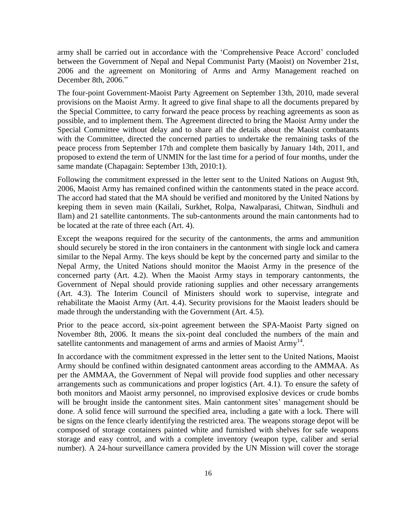army shall be carried out in accordance with the "Comprehensive Peace Accord" concluded between the Government of Nepal and Nepal Communist Party (Maoist) on November 21st, 2006 and the agreement on Monitoring of Arms and Army Management reached on December 8th, 2006."

The four-point Government-Maoist Party Agreement on September 13th, 2010, made several provisions on the Maoist Army. It agreed to give final shape to all the documents prepared by the Special Committee, to carry forward the peace process by reaching agreements as soon as possible, and to implement them. The Agreement directed to bring the Maoist Army under the Special Committee without delay and to share all the details about the Maoist combatants with the Committee, directed the concerned parties to undertake the remaining tasks of the peace process from September 17th and complete them basically by January 14th, 2011, and proposed to extend the term of UNMIN for the last time for a period of four months, under the same mandate (Chapagain: September 13th, 2010:1).

Following the commitment expressed in the letter sent to the United Nations on August 9th, 2006, Maoist Army has remained confined within the cantonments stated in the peace accord. The accord had stated that the MA should be verified and monitored by the United Nations by keeping them in seven main (Kailali, Surkhet, Rolpa, Nawalparasi, Chitwan, Sindhuli and Ilam) and 21 satellite cantonments. The sub-cantonments around the main cantonments had to be located at the rate of three each (Art. 4).

Except the weapons required for the security of the cantonments, the arms and ammunition should securely be stored in the iron containers in the cantonment with single lock and camera similar to the Nepal Army. The keys should be kept by the concerned party and similar to the Nepal Army, the United Nations should monitor the Maoist Army in the presence of the concerned party (Art. 4.2). When the Maoist Army stays in temporary cantonments, the Government of Nepal should provide rationing supplies and other necessary arrangements (Art. 4.3). The Interim Council of Ministers should work to supervise, integrate and rehabilitate the Maoist Army (Art. 4.4). Security provisions for the Maoist leaders should be made through the understanding with the Government (Art. 4.5).

Prior to the peace accord, six-point agreement between the SPA-Maoist Party signed on November 8th, 2006. It means the six-point deal concluded the numbers of the main and satellite cantonments and management of arms and armies of Maoist Army<sup>14</sup>.

In accordance with the commitment expressed in the letter sent to the United Nations, Maoist Army should be confined within designated cantonment areas according to the AMMAA. As per the AMMAA, the Government of Nepal will provide food supplies and other necessary arrangements such as communications and proper logistics (Art. 4.1). To ensure the safety of both monitors and Maoist army personnel, no improvised explosive devices or crude bombs will be brought inside the cantonment sites. Main cantonment sites' management should be done. A solid fence will surround the specified area, including a gate with a lock. There will be signs on the fence clearly identifying the restricted area. The weapons storage depot will be composed of storage containers painted white and furnished with shelves for safe weapons storage and easy control, and with a complete inventory (weapon type, caliber and serial number). A 24-hour surveillance camera provided by the UN Mission will cover the storage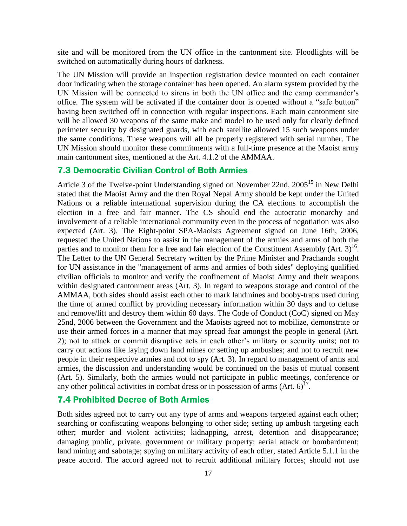site and will be monitored from the UN office in the cantonment site. Floodlights will be switched on automatically during hours of darkness.

The UN Mission will provide an inspection registration device mounted on each container door indicating when the storage container has been opened. An alarm system provided by the UN Mission will be connected to sirens in both the UN office and the camp commander's office. The system will be activated if the container door is opened without a "safe button" having been switched off in connection with regular inspections. Each main cantonment site will be allowed 30 weapons of the same make and model to be used only for clearly defined perimeter security by designated guards, with each satellite allowed 15 such weapons under the same conditions. These weapons will all be properly registered with serial number. The UN Mission should monitor these commitments with a full-time presence at the Maoist army main cantonment sites, mentioned at the Art. 4.1.2 of the AMMAA.

#### 7.3 Democratic Civilian Control of Both Armies

Article 3 of the Twelve-point Understanding signed on November 22nd, 2005<sup>15</sup> in New Delhi stated that the Maoist Army and the then Royal Nepal Army should be kept under the United Nations or a reliable international supervision during the CA elections to accomplish the election in a free and fair manner. The CS should end the autocratic monarchy and involvement of a reliable international community even in the process of negotiation was also expected (Art. 3). The Eight-point SPA-Maoists Agreement signed on June 16th, 2006, requested the United Nations to assist in the management of the armies and arms of both the parties and to monitor them for a free and fair election of the Constituent Assembly (Art.  $3$ )<sup>16</sup>. The Letter to the UN General Secretary written by the Prime Minister and Prachanda sought for UN assistance in the "management of arms and armies of both sides" deploying qualified civilian officials to monitor and verify the confinement of Maoist Army and their weapons within designated cantonment areas (Art. 3). In regard to weapons storage and control of the AMMAA, both sides should assist each other to mark landmines and booby-traps used during the time of armed conflict by providing necessary information within 30 days and to defuse and remove/lift and destroy them within 60 days. The Code of Conduct (CoC) signed on May 25nd, 2006 between the Government and the Maoists agreed not to mobilize, demonstrate or use their armed forces in a manner that may spread fear amongst the people in general (Art. 2); not to attack or commit disruptive acts in each other"s military or security units; not to carry out actions like laying down land mines or setting up ambushes; and not to recruit new people in their respective armies and not to spy (Art. 3). In regard to management of arms and armies, the discussion and understanding would be continued on the basis of mutual consent (Art. 5). Similarly, both the armies would not participate in public meetings, conference or any other political activities in combat dress or in possession of arms  $(Art. 6)^{17}$ .

## 7.4 Prohibited Decree of Both Armies

Both sides agreed not to carry out any type of arms and weapons targeted against each other; searching or confiscating weapons belonging to other side; setting up ambush targeting each other; murder and violent activities; kidnapping, arrest, detention and disappearance; damaging public, private, government or military property; aerial attack or bombardment; land mining and sabotage; spying on military activity of each other, stated Article 5.1.1 in the peace accord. The accord agreed not to recruit additional military forces; should not use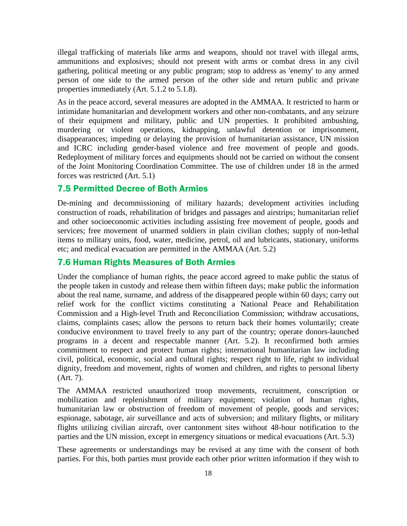illegal trafficking of materials like arms and weapons, should not travel with illegal arms, ammunitions and explosives; should not present with arms or combat dress in any civil gathering, political meeting or any public program; stop to address as 'enemy' to any armed person of one side to the armed person of the other side and return public and private properties immediately (Art. 5.1.2 to 5.1.8).

As in the peace accord, several measures are adopted in the AMMAA. It restricted to harm or intimidate humanitarian and development workers and other non-combatants, and any seizure of their equipment and military, public and UN properties. It prohibited ambushing, murdering or violent operations, kidnapping, unlawful detention or imprisonment, disappearances; impeding or delaying the provision of humanitarian assistance, UN mission and ICRC including gender-based violence and free movement of people and goods. Redeployment of military forces and equipments should not be carried on without the consent of the Joint Monitoring Coordination Committee. The use of children under 18 in the armed forces was restricted (Art. 5.1)

#### 7.5 Permitted Decree of Both Armies

De-mining and decommissioning of military hazards; development activities including construction of roads, rehabilitation of bridges and passages and airstrips; humanitarian relief and other socioeconomic activities including assisting free movement of people, goods and services; free movement of unarmed soldiers in plain civilian clothes; supply of non-lethal items to military units, food, water, medicine, petrol, oil and lubricants, stationary, uniforms etc; and medical evacuation are permitted in the AMMAA (Art. 5.2)

#### 7.6 Human Rights Measures of Both Armies

Under the compliance of human rights, the peace accord agreed to make public the status of the people taken in custody and release them within fifteen days; make public the information about the real name, surname, and address of the disappeared people within 60 days; carry out relief work for the conflict victims constituting a National Peace and Rehabilitation Commission and a High-level Truth and Reconciliation Commission; withdraw accusations, claims, complaints cases; allow the persons to return back their homes voluntarily; create conducive environment to travel freely to any part of the country; operate donors-launched programs in a decent and respectable manner (Art. 5.2). It reconfirmed both armies commitment to respect and protect human rights; international humanitarian law including civil, political, economic, social and cultural rights; respect right to life, right to individual dignity, freedom and movement, rights of women and children, and rights to personal liberty (Art. 7).

The AMMAA restricted unauthorized troop movements, recruitment, conscription or mobilization and replenishment of military equipment; violation of human rights, humanitarian law or obstruction of freedom of movement of people, goods and services; espionage, sabotage, air surveillance and acts of subversion; and military flights, or military flights utilizing civilian aircraft, over cantonment sites without 48-hour notification to the parties and the UN mission, except in emergency situations or medical evacuations (Art. 5.3)

These agreements or understandings may be revised at any time with the consent of both parties. For this, both parties must provide each other prior written information if they wish to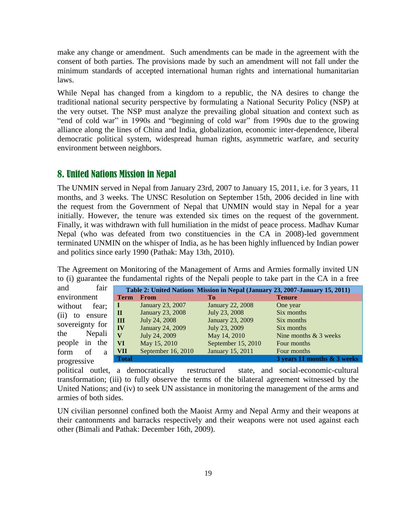make any change or amendment. Such amendments can be made in the agreement with the consent of both parties. The provisions made by such an amendment will not fall under the minimum standards of accepted international human rights and international humanitarian laws.

While Nepal has changed from a kingdom to a republic, the NA desires to change the traditional national security perspective by formulating a National Security Policy (NSP) at the very outset. The NSP must analyze the prevailing global situation and context such as "end of cold war" in 1990s and "beginning of cold war" from 1990s due to the growing alliance along the lines of China and India, globalization, economic inter-dependence, liberal democratic political system, widespread human rights, asymmetric warfare, and security environment between neighbors.

## 8. United Nations Mission in Nepal

The UNMIN served in Nepal from January 23rd, 2007 to January 15, 2011, i.e. for 3 years, 11 months, and 3 weeks. The UNSC Resolution on September 15th, 2006 decided in line with the request from the Government of Nepal that UNMIN would stay in Nepal for a year initially. However, the tenure was extended six times on the request of the government. Finally, it was withdrawn with full humiliation in the midst of peace process. Madhav Kumar Nepal (who was defeated from two constituencies in the CA in 2008)-led government terminated UNMIN on the whisper of India, as he has been highly influenced by Indian power and politics since early 1990 (Pathak: May 13th, 2010).

The Agreement on Monitoring of the Management of Arms and Armies formally invited UN to (i) guarantee the fundamental rights of the Nepali people to take part in the CA in a free

| fair<br>and          |              |                         |                         | Table 2: United Nations Mission in Nepal (January 23, 2007-January 15, 2011) |
|----------------------|--------------|-------------------------|-------------------------|------------------------------------------------------------------------------|
| environment          | <b>Term</b>  | <b>From</b>             | Tо                      | <b>Tenure</b>                                                                |
| without<br>fear;     | ш            | January 23, 2007        | <b>January 22, 2008</b> | One year                                                                     |
| (ii)<br>ensure<br>to | П            | <b>January 23, 2008</b> | July 23, 2008           | Six months                                                                   |
|                      | Ш            | July 24, 2008           | January 23, 2009        | Six months                                                                   |
| sovereignty for      | IV           | January 24, 2009        | July 23, 2009           | Six months                                                                   |
| the<br>Nepali        | $\mathbf{V}$ | July 24, 2009           | May 14, 2010            | Nine months $& 3$ weeks                                                      |
| people<br>the<br>in  | VI           | May 15, 2010            | September 15, 2010      | Four months                                                                  |
| of<br>form<br>a      | VII          | September 16, 2010      | January 15, 2011        | Four months                                                                  |
| progressive          | Total        |                         |                         | 3 years 11 months & 3 weeks                                                  |
|                      |              |                         |                         |                                                                              |

political outlet, a democratically restructured state, and social-economic-cultural transformation; (iii) to fully observe the terms of the bilateral agreement witnessed by the United Nations; and (iv) to seek UN assistance in monitoring the management of the arms and armies of both sides.

UN civilian personnel confined both the Maoist Army and Nepal Army and their weapons at their cantonments and barracks respectively and their weapons were not used against each other (Bimali and Pathak: December 16th, 2009).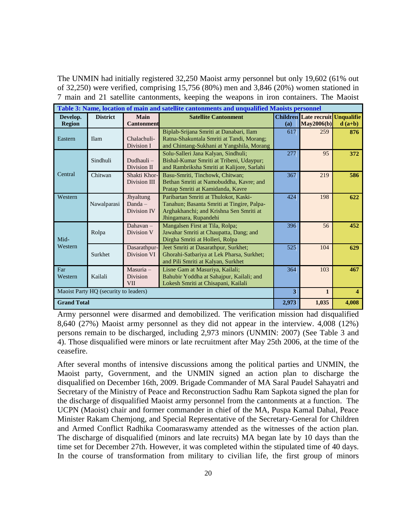The UNMIN had initially registered 32,250 Maoist army personnel but only 19,602 (61% out of 32,250) were verified, comprising 15,756 (80%) men and 3,846 (20%) women stationed in 7 main and 21 satellite cantonments, keeping the weapons in iron containers. The Maoist

| Table 3: Name, location of main and satellite cantonments and unqualified Maoists personnel |                 |                                              |                                                                                                                                                         |       |                                                       |                  |  |  |
|---------------------------------------------------------------------------------------------|-----------------|----------------------------------------------|---------------------------------------------------------------------------------------------------------------------------------------------------------|-------|-------------------------------------------------------|------------------|--|--|
| Develop.<br><b>Region</b>                                                                   | <b>District</b> | Main<br><b>Cantonment</b>                    | <b>Satellite Cantonment</b>                                                                                                                             | (a)   | <b>Children Late recruit Unqualifie</b><br>May2006(b) | $d(a+b)$         |  |  |
| Eastern                                                                                     | <b>Ilam</b>     | Chalachuli-<br>Division I                    | Biplab-Srijana Smriti at Danabari, Ilam<br>Ratna-Shakuntala Smriti at Tandi, Morang;<br>and Chintang-Sukhani at Yangshila, Morang                       | 617   | 259                                                   | 876              |  |  |
| Central                                                                                     | Sindhuli        | Dudhauli-<br>Division II                     | Solu-Salleri Jana Kalyan, Sindhuli;<br>Bishal-Kumar Smriti at Tribeni, Udaypur;<br>and Rambriksha Smriti at Kalijore, Sarlahi                           | 277   | 95                                                    | 372              |  |  |
|                                                                                             | Chitwan         | Shakti Khor-<br>Division III                 | Basu-Smriti, Tinchowk, Chitwan;<br>Bethan Smriti at Namobuddha, Kavre; and<br>Pratap Smriti at Kamidanda, Kavre                                         | 367   | 219                                                   | 586              |  |  |
| Western                                                                                     | Nawalparasi     | Jhyaltung<br>$Danda -$<br>Division IV        | Paribartan Smriti at Thulokot, Kaski-<br>Tanahun; Basanta Smriti at Tingire, Palpa-<br>Arghakhanchi; and Krishna Sen Smriti at<br>Jhingamara, Rupandehi | 424   | 198                                                   | 622              |  |  |
| Mid-<br>Western                                                                             | Rolpa           | Dahavan $-$<br>Division V                    | Mangalsen First at Tila, Rolpa;<br>Jawahar Smriti at Chaupatta, Dang; and<br>Dirgha Smriti at Holleri, Rolpa                                            | 396   | 56                                                    | 452              |  |  |
|                                                                                             | Surkhet         | Dasarathpur-<br>Division VI                  | Jeet Smriti at Dasarathpur, Surkhet;<br>Ghorahi-Satbariya at Lek Pharsa, Surkhet;<br>and Pili Smriti at Kalyan, Surkhet                                 | 525   | 104                                                   | 629              |  |  |
| Far<br>Western                                                                              | Kailali         | $Maxuria -$<br><b>Division</b><br><b>VII</b> | Lisne Gam at Masuriya, Kailali;<br>Bahubir Yoddha at Sahajpur, Kailali; and<br>Lokesh Smriti at Chisapani, Kailali                                      | 364   | 103                                                   | 467              |  |  |
| Maoist Party HQ (security to leaders)                                                       |                 |                                              |                                                                                                                                                         | 3     | $\mathbf{1}$                                          | $\blacktriangle$ |  |  |
| <b>Grand Total</b>                                                                          |                 |                                              | 2,973                                                                                                                                                   | 1,035 | 4,008                                                 |                  |  |  |

Army personnel were disarmed and demobilized. The verification mission had disqualified 8,640 (27%) Maoist army personnel as they did not appear in the interview. 4,008 (12%) persons remain to be discharged, including 2,973 minors (UNMIN: 2007) (See Table 3 and 4). Those disqualified were minors or late recruitment after May 25th 2006, at the time of the ceasefire.

After several months of intensive discussions among the political parties and UNMIN, the Maoist party, Government, and the UNMIN signed an action plan to discharge the disqualified on December 16th, 2009. Brigade Commander of MA Saral Paudel Sahayatri and Secretary of the Ministry of Peace and Reconstruction Sadhu Ram Sapkota signed the plan for the discharge of disqualified Maoist army personnel from the cantonments at a function. The UCPN (Maoist) chair and former commander in chief of the MA, Puspa Kamal Dahal, Peace Minister Rakam Chemjong, and Special Representative of the Secretary-General for Children and Armed Conflict Radhika Coomaraswamy attended as the witnesses of the action plan. The discharge of disqualified (minors and late recruits) MA began late by 10 days than the time set for December 27th. However, it was completed within the stipulated time of 40 days. In the course of transformation from military to civilian life, the first group of minors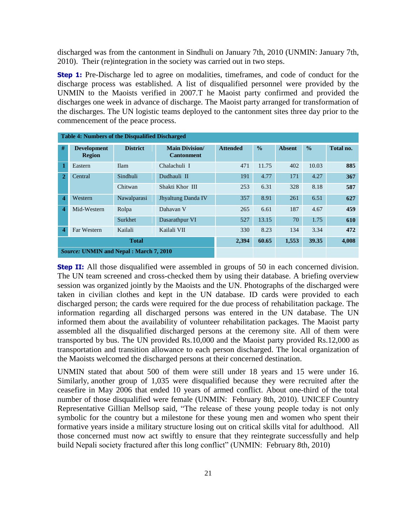discharged was from the cantonment in Sindhuli on January 7th, 2010 (UNMIN: January 7th, 2010). Their (re)integration in the society was carried out in two steps.

**Step 1:** Pre-Discharge led to agree on modalities, timeframes, and code of conduct for the discharge process was established. A list of disqualified personnel were provided by the UNMIN to the Maoists verified in 2007.T he Maoist party confirmed and provided the discharges one week in advance of discharge. The Maoist party arranged for transformation of the discharges. The UN logistic teams deployed to the cantonment sites three day prior to the commencement of the peace process.

| <b>Table 4: Numbers of the Disqualified Discharged</b> |                                               |                 |                                           |                 |               |               |               |           |
|--------------------------------------------------------|-----------------------------------------------|-----------------|-------------------------------------------|-----------------|---------------|---------------|---------------|-----------|
| #                                                      | <b>Development</b><br><b>Region</b>           | <b>District</b> | <b>Main Division</b><br><b>Cantonment</b> | <b>Attended</b> | $\frac{0}{0}$ | <b>Absent</b> | $\frac{0}{0}$ | Total no. |
|                                                        | Eastern                                       | <b>Ilam</b>     | Chalachuli I                              | 471             | 11.75         | 402           | 10.03         | 885       |
| $\mathbf{2}$                                           | Central                                       | Sindhuli        | Dudhauli II                               | 191             | 4.77          | 171           | 4.27          | 367       |
|                                                        |                                               | Chitwan         | Shakti Khor III                           | 253             | 6.31          | 328           | 8.18          | 587       |
| 4                                                      | Western                                       | Nawalparasi     | Jhyaltung Danda IV                        | 357             | 8.91          | 261           | 6.51          | 627       |
| 4                                                      | Mid-Western                                   | Rolpa           | Dahavan V                                 | 265             | 6.61          | 187           | 4.67          | 459       |
|                                                        |                                               | Surkhet         | Dasarathpur VI                            | 527             | 13.15         | 70            | 1.75          | 610       |
| 4                                                      | Far Western                                   | Kailali         | Kailali VII                               | 330             | 8.23          | 134           | 3.34          | 472       |
| <b>Total</b>                                           |                                               |                 | 2,394                                     | 60.65           | 1,553         | 39.35         | 4,008         |           |
|                                                        | <b>Source: UNMIN and Nepal: March 7, 2010</b> |                 |                                           |                 |               |               |               |           |

**Step II:** All those disqualified were assembled in groups of 50 in each concerned division. The UN team screened and cross-checked them by using their database. A briefing overview session was organized jointly by the Maoists and the UN. Photographs of the discharged were taken in civilian clothes and kept in the UN database. ID cards were provided to each discharged person; the cards were required for the due process of rehabilitation package. The information regarding all discharged persons was entered in the UN database. The UN informed them about the availability of volunteer rehabilitation packages. The Maoist party assembled all the disqualified discharged persons at the ceremony site. All of them were transported by bus. The UN provided Rs.10,000 and the Maoist party provided Rs.12,000 as transportation and transition allowance to each person discharged. The local organization of the Maoists welcomed the discharged persons at their concerned destination.

UNMIN stated that about 500 of them were still under 18 years and 15 were under 16. Similarly, another group of 1,035 were disqualified because they were recruited after the ceasefire in May 2006 that ended 10 years of armed conflict. About one-third of the total number of those disqualified were female (UNMIN: February 8th, 2010). UNICEF Country Representative Gillian Mellsop said, "The release of these young people today is not only symbolic for the country but a milestone for these young men and women who spent their formative years inside a military structure losing out on critical skills vital for adulthood. All those concerned must now act swiftly to ensure that they reintegrate successfully and help build Nepali society fractured after this long conflict" (UNMIN: February 8th, 2010)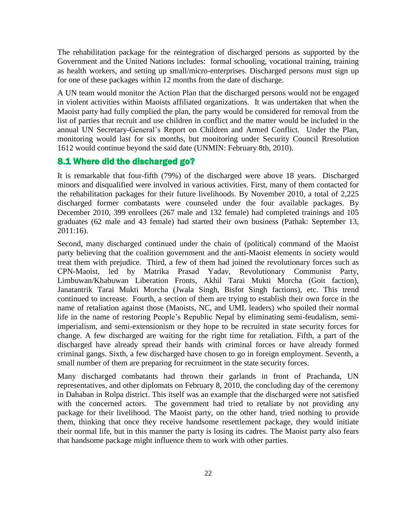The rehabilitation package for the reintegration of discharged persons as supported by the Government and the United Nations includes: formal schooling, vocational training, training as health workers, and setting up small/micro-enterprises. Discharged persons must sign up for one of these packages within 12 months from the date of discharge.

A UN team would monitor the Action Plan that the discharged persons would not be engaged in violent activities within Maoists affiliated organizations. It was undertaken that when the Maoist party had fully complied the plan, the party would be considered for removal from the list of parties that recruit and use children in conflict and the matter would be included in the annual UN Secretary-General"s Report on Children and Armed Conflict. Under the Plan, monitoring would last for six months, but monitoring under Security Council Rresolution 1612 would continue beyond the said date (UNMIN: February 8th, 2010).

### 8.1 Where did the discharged go?

It is remarkable that four-fifth (79%) of the discharged were above 18 years. Discharged minors and disqualified were involved in various activities. First, many of them contacted for the rehabilitation packages for their future livelihoods. By November 2010, a total of 2,225 discharged former combatants were counseled under the four available packages. By December 2010, 399 enrollees (267 male and 132 female) had completed trainings and 105 graduates (62 male and 43 female) had started their own business (Pathak: September 13, 2011:16).

Second, many discharged continued under the chain of (political) command of the Maoist party believing that the coalition government and the anti-Maoist elements in society would treat them with prejudice. Third, a few of them had joined the revolutionary forces such as CPN-Maoist, led by Matrika Prasad Yadav, Revolutionary Communist Party, Limbuwan/Khabuwan Liberation Fronts, Akhil Tarai Mukti Morcha (Goit faction), Janatantrik Tarai Mukti Morcha (Jwala Singh, Bisfot Singh factions), etc. This trend continued to increase. Fourth, a section of them are trying to establish their own force in the name of retaliation against those (Maoists, NC, and UML leaders) who spoiled their normal life in the name of restoring People"s Republic Nepal by eliminating semi-feudalism, semiimperialism, and semi-extensionism or they hope to be recruited in state security forces for change. A few discharged are waiting for the right time for retaliation. Fifth, a part of the discharged have already spread their hands with criminal forces or have already formed criminal gangs. Sixth, a few discharged have chosen to go in foreign employment. Seventh, a small number of them are preparing for recruitment in the state security forces.

Many discharged combatants had thrown their garlands in front of Prachanda, UN representatives, and other diplomats on February 8, 2010, the concluding day of the ceremony in Dahaban in Rolpa district. This itself was an example that the discharged were not satisfied with the concerned actors. The government had tried to retaliate by not providing any package for their livelihood. The Maoist party, on the other hand, tried nothing to provide them, thinking that once they receive handsome resettlement package, they would initiate their normal life, but in this manner the party is losing its cadres. The Maoist party also fears that handsome package might influence them to work with other parties.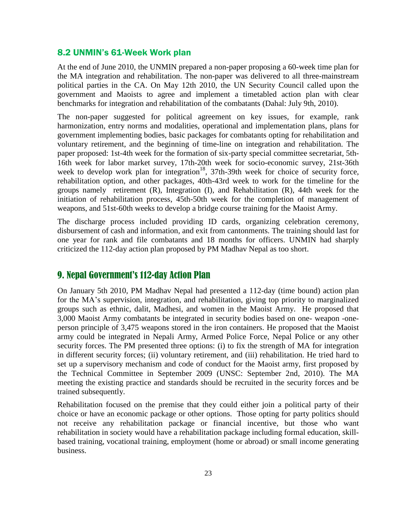#### 8.2 UNMIN's 61-Week Work plan

At the end of June 2010, the UNMIN prepared a non-paper proposing a 60-week time plan for the MA integration and rehabilitation. The non-paper was delivered to all three-mainstream political parties in the CA. On May 12th 2010, the UN Security Council called upon the government and Maoists to agree and implement a timetabled action plan with clear benchmarks for integration and rehabilitation of the combatants (Dahal: July 9th, 2010).

The non-paper suggested for political agreement on key issues, for example, rank harmonization, entry norms and modalities, operational and implementation plans, plans for government implementing bodies, basic packages for combatants opting for rehabilitation and voluntary retirement, and the beginning of time-line on integration and rehabilitation. The paper proposed: 1st-4th week for the formation of six-party special committee secretariat, 5th-16th week for labor market survey, 17th-20th week for socio-economic survey, 21st-36th week to develop work plan for integration<sup>18</sup>,  $37th-39th$  week for choice of security force, rehabilitation option, and other packages, 40th-43rd week to work for the timeline for the groups namely retirement (R), Integration (I), and Rehabilitation (R), 44th week for the initiation of rehabilitation process, 45th-50th week for the completion of management of weapons, and 51st-60th weeks to develop a bridge course training for the Maoist Army.

The discharge process included providing ID cards, organizing celebration ceremony, disbursement of cash and information, and exit from cantonments. The training should last for one year for rank and file combatants and 18 months for officers. UNMIN had sharply criticized the 112-day action plan proposed by PM Madhav Nepal as too short.

# 9. Nepal Government's 112-day Action Plan

On January 5th 2010, PM Madhav Nepal had presented a 112-day (time bound) action plan for the MA"s supervision, integration, and rehabilitation, giving top priority to marginalized groups such as ethnic, dalit, Madhesi, and women in the Maoist Army. He proposed that 3,000 Maoist Army combatants be integrated in security bodies based on one- weapon -oneperson principle of 3,475 weapons stored in the iron containers. He proposed that the Maoist army could be integrated in Nepali Army, Armed Police Force, Nepal Police or any other security forces. The PM presented three options: (i) to fix the strength of MA for integration in different security forces; (ii) voluntary retirement, and (iii) rehabilitation. He tried hard to set up a supervisory mechanism and code of conduct for the Maoist army, first proposed by the Technical Committee in September 2009 (UNSC: September 2nd, 2010). The MA meeting the existing practice and standards should be recruited in the security forces and be trained subsequently.

Rehabilitation focused on the premise that they could either join a political party of their choice or have an economic package or other options. Those opting for party politics should not receive any rehabilitation package or financial incentive, but those who want rehabilitation in society would have a rehabilitation package including formal education, skillbased training, vocational training, employment (home or abroad) or small income generating business.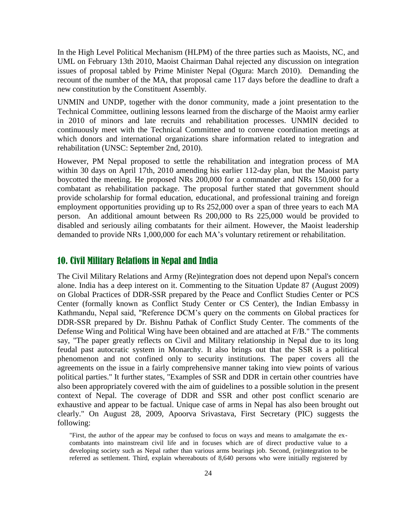In the High Level Political Mechanism (HLPM) of the three parties such as Maoists, NC, and UML on February 13th 2010, Maoist Chairman Dahal rejected any discussion on integration issues of proposal tabled by Prime Minister Nepal (Ogura: March 2010). Demanding the recount of the number of the MA, that proposal came 117 days before the deadline to draft a new constitution by the Constituent Assembly.

UNMIN and UNDP, together with the donor community, made a joint presentation to the Technical Committee, outlining lessons learned from the discharge of the Maoist army earlier in 2010 of minors and late recruits and rehabilitation processes. UNMIN decided to continuously meet with the Technical Committee and to convene coordination meetings at which donors and international organizations share information related to integration and rehabilitation (UNSC: September 2nd, 2010).

However, PM Nepal proposed to settle the rehabilitation and integration process of MA within 30 days on April 17th, 2010 amending his earlier 112-day plan, but the Maoist party boycotted the meeting. He proposed NRs 200,000 for a commander and NRs 150,000 for a combatant as rehabilitation package. The proposal further stated that government should provide scholarship for formal education, educational, and professional training and foreign employment opportunities providing up to Rs 252,000 over a span of three years to each MA person. An additional amount between Rs 200,000 to Rs 225,000 would be provided to disabled and seriously ailing combatants for their ailment. However, the Maoist leadership demanded to provide NRs 1,000,000 for each MA"s voluntary retirement or rehabilitation.

## 10. Civil Military Relations in Nepal and India

The Civil Military Relations and Army (Re)integration does not depend upon Nepal's concern alone. India has a deep interest on it. Commenting to the Situation Update 87 (August 2009) on Global Practices of DDR-SSR prepared by the Peace and Conflict Studies Center or PCS Center (formally known as Conflict Study Center or CS Center), the Indian Embassy in Kathmandu, Nepal said, "Reference DCM"s query on the comments on Global practices for DDR-SSR prepared by Dr. Bishnu Pathak of Conflict Study Center. The comments of the Defense Wing and Political Wing have been obtained and are attached at F/B." The comments say, "The paper greatly reflects on Civil and Military relationship in Nepal due to its long feudal past autocratic system in Monarchy. It also brings out that the SSR is a political phenomenon and not confined only to security institutions. The paper covers all the agreements on the issue in a fairly comprehensive manner taking into view points of various political parties." It further states, "Examples of SSR and DDR in certain other countries have also been appropriately covered with the aim of guidelines to a possible solution in the present context of Nepal. The coverage of DDR and SSR and other post conflict scenario are exhaustive and appear to be factual. Unique case of arms in Nepal has also been brought out clearly." On August 28, 2009, Apoorva Srivastava, First Secretary (PIC) suggests the following:

"First, the author of the appear may be confused to focus on ways and means to amalgamate the excombatants into mainstream civil life and in focuses which are of direct productive value to a developing society such as Nepal rather than various arms bearings job. Second, (re)integration to be referred as settlement. Third, explain whereabouts of 8,640 persons who were initially registered by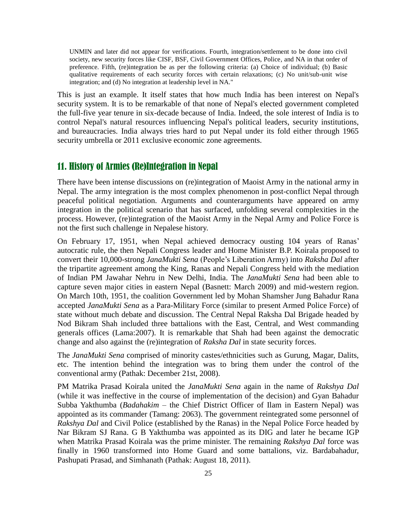UNMIN and later did not appear for verifications. Fourth, integration/settlement to be done into civil society, new security forces like CISF, BSF, Civil Government Offices, Police, and NA in that order of preference. Fifth, (re)integration be as per the following criteria: (a) Choice of individual; (b) Basic qualitative requirements of each security forces with certain relaxations; (c) No unit/sub-unit wise integration; and (d) No integration at leadership level in NA."

This is just an example. It itself states that how much India has been interest on Nepal's security system. It is to be remarkable of that none of Nepal's elected government completed the full-five year tenure in six-decade because of India. Indeed, the sole interest of India is to control Nepal's natural resources influencing Nepal's political leaders, security institutions, and bureaucracies. India always tries hard to put Nepal under its fold either through 1965 security umbrella or 2011 exclusive economic zone agreements.

# 11. History of Armies (Re)Integration in Nepal

There have been intense discussions on (re)integration of Maoist Army in the national army in Nepal. The army integration is the most complex phenomenon in post-conflict Nepal through peaceful political negotiation. Arguments and counterarguments have appeared on army integration in the political scenario that has surfaced, unfolding several complexities in the process. However, (re)integration of the Maoist Army in the Nepal Army and Police Force is not the first such challenge in Nepalese history.

On February 17, 1951, when Nepal achieved democracy ousting 104 years of Ranas" autocratic rule, the then Nepali Congress leader and Home Minister B.P. Koirala proposed to convert their 10,000-strong *JanaMukti Sena* (People"s Liberation Army) into *Raksha Dal* after the tripartite agreement among the King, Ranas and Nepali Congress held with the mediation of Indian PM Jawahar Nehru in New Delhi, India. The *JanaMukti Sena* had been able to capture seven major cities in eastern Nepal (Basnett: March 2009) and mid-western region. On March 10th, 1951, the coalition Government led by Mohan Shamsher Jung Bahadur Rana accepted *JanaMukti Sena* as a Para-Military Force (similar to present Armed Police Force) of state without much debate and discussion. The Central Nepal Raksha Dal Brigade headed by Nod Bikram Shah included three battalions with the East, Central, and West commanding generals offices (Lama:2007). It is remarkable that Shah had been against the democratic change and also against the (re)integration of *Raksha Dal* in state security forces.

The *JanaMukti Sena* comprised of minority castes/ethnicities such as Gurung, Magar, Dalits, etc. The intention behind the integration was to bring them under the control of the conventional army (Pathak: December 21st, 2008).

PM Matrika Prasad Koirala united the *JanaMukti Sena* again in the name of *Rakshya Dal* (while it was ineffective in the course of implementation of the decision) and Gyan Bahadur Subba Yakthumba (*Badahakim* – the Chief District Officer of Ilam in Eastern Nepal) was appointed as its commander (Tamang: 2063). The government reintegrated some personnel of *Rakshya Dal* and Civil Police (established by the Ranas) in the Nepal Police Force headed by Nar Bikram SJ Rana. G B Yakthumba was appointed as its DIG and later he became IGP when Matrika Prasad Koirala was the prime minister. The remaining *Rakshya Dal* force was finally in 1960 transformed into Home Guard and some battalions, viz. Bardabahadur, Pashupati Prasad, and Simhanath (Pathak: August 18, 2011).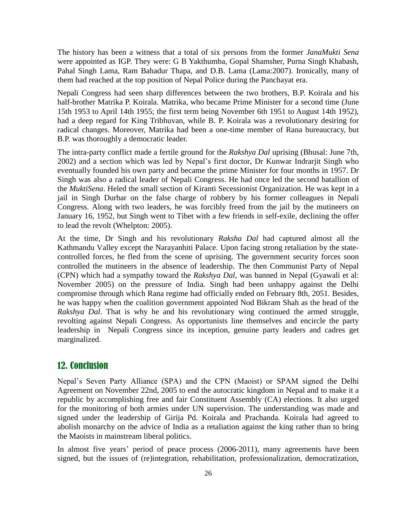The history has been a witness that a total of six persons from the former *JanaMukti Sena* were appointed as IGP. They were: G B Yakthumba, Gopal Shamsher, Purna Singh Khabash, Pahal Singh Lama, Ram Bahadur Thapa, and D.B. Lama (Lama:2007). Ironically, many of them had reached at the top position of Nepal Police during the Panchayat era.

Nepali Congress had seen sharp differences between the two brothers, B.P. Koirala and his half-brother Matrika P. Koirala. Matrika, who became Prime Minister for a second time (June 15th 1953 to April 14th 1955; the first term being November 6th 1951 to August 14th 1952), had a deep regard for King Tribhuvan, while B. P. Koirala was a revolutionary desiring for radical changes. Moreover, Matrika had been a one-time member of Rana bureaucracy, but B.P. was thoroughly a democratic leader.

The intra-party conflict made a fertile ground for the *Rakshya Dal* uprising (Bhusal: June 7th, 2002) and a section which was led by Nepal"s first doctor, Dr Kunwar Indrarjit Singh who eventually founded his own party and became the prime Minister for four months in 1957. Dr Singh was also a radical leader of Nepali Congress. He had once led the second batallion of the *MuktiSena*. Heled the small section of Kiranti Secessionist Organization. He was kept in a jail in Singh Durbar on the false charge of robbery by his former colleagues in Nepali Congress. Along with two leaders, he was forcibly freed from the jail by the mutineers on January 16, 1952, but Singh went to Tibet with a few friends in self-exile, declining the offer to lead the revolt (Whelpton: 2005).

At the time, Dr Singh and his revolutionary *Raksha Dal* had captured almost all the Kathmandu Valley except the Narayanhiti Palace. Upon facing strong retaliation by the statecontrolled forces, he fled from the scene of uprising. The government security forces soon controlled the mutineers in the absence of leadership. The then Communist Party of Nepal (CPN) which had a sympathy toward the *Rakshya Dal*, was banned in Nepal (Gyawali et al: November 2005) on the pressure of India. Singh had been unhappy against the Delhi compromise through which Rana regime had officially ended on February 8th, 2051. Besides, he was happy when the coalition government appointed Nod Bikram Shah as the head of the *Rakshya Dal*. That is why he and his revolutionary wing continued the armed struggle, revolting against Nepali Congress. As opportunists line themselves and encircle the party leadership in Nepali Congress since its inception, genuine party leaders and cadres get marginalized.

## 12. Conclusion

Nepal"s Seven Party Alliance (SPA) and the CPN (Maoist) or SPAM signed the Delhi Agreement on November 22nd, 2005 to end the autocratic kingdom in Nepal and to make it a republic by accomplishing free and fair Constituent Assembly (CA) elections. It also urged for the monitoring of both armies under UN supervision. The understanding was made and signed under the leadership of Girija Pd. Koirala and Prachanda. Koirala had agreed to abolish monarchy on the advice of India as a retaliation against the king rather than to bring the Maoists in mainstream liberal politics.

In almost five years' period of peace process (2006-2011), many agreements have been signed, but the issues of (re)integration, rehabilitation, professionalization, democratization,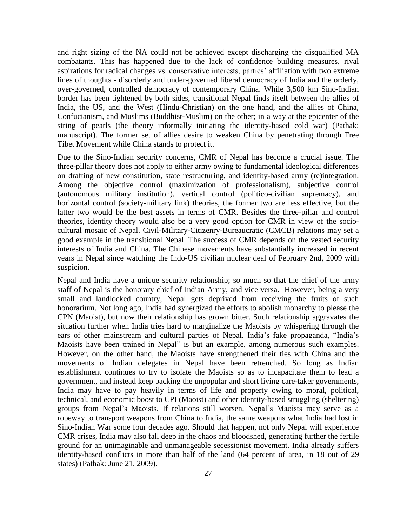and right sizing of the NA could not be achieved except discharging the disqualified MA combatants. This has happened due to the lack of confidence building measures, rival aspirations for radical changes vs. conservative interests, parties' affiliation with two extreme lines of thoughts - disorderly and under-governed liberal democracy of India and the orderly, over-governed, controlled democracy of contemporary China. While 3,500 km Sino-Indian border has been tightened by both sides, transitional Nepal finds itself between the allies of India, the US, and the West (Hindu-Christian) on the one hand, and the allies of China, Confucianism, and Muslims (Buddhist-Muslim) on the other; in a way at the epicenter of the string of pearls (the theory informally initiating the identity-based cold war) (Pathak: manuscript). The former set of allies desire to weaken China by penetrating through Free Tibet Movement while China stands to protect it.

Due to the Sino-Indian security concerns, CMR of Nepal has become a crucial issue. The three-pillar theory does not apply to either army owing to fundamental ideological differences on drafting of new constitution, state restructuring, and identity-based army (re)integration. Among the objective control (maximization of professionalism), subjective control (autonomous military institution), vertical control (politico-civilian supremacy), and horizontal control (society-military link) theories, the former two are less effective, but the latter two would be the best assets in terms of CMR. Besides the three-pillar and control theories, identity theory would also be a very good option for CMR in view of the sociocultural mosaic of Nepal. Civil-Military-Citizenry-Bureaucratic (CMCB) relations may set a good example in the transitional Nepal. The success of CMR depends on the vested security interests of India and China. The Chinese movements have substantially increased in recent years in Nepal since watching the Indo-US civilian nuclear deal of February 2nd, 2009 with suspicion.

Nepal and India have a unique security relationship; so much so that the chief of the army staff of Nepal is the honorary chief of Indian Army, and vice versa. However, being a very small and landlocked country, Nepal gets deprived from receiving the fruits of such honorarium. Not long ago, India had synergized the efforts to abolish monarchy to please the CPN (Maoist), but now their relationship has grown bitter. Such relationship aggravates the situation further when India tries hard to marginalize the Maoists by whispering through the ears of other mainstream and cultural parties of Nepal. India"s fake propaganda, "India"s Maoists have been trained in Nepal" is but an example, among numerous such examples. However, on the other hand, the Maoists have strengthened their ties with China and the movements of Indian delegates in Nepal have been retrenched. So long as Indian establishment continues to try to isolate the Maoists so as to incapacitate them to lead a government, and instead keep backing the unpopular and short living care-taker governments, India may have to pay heavily in terms of life and property owing to moral, political, technical, and economic boost to CPI (Maoist) and other identity-based struggling (sheltering) groups from Nepal"s Maoists. If relations still worsen, Nepal"s Maoists may serve as a ropeway to transport weapons from China to India, the same weapons what India had lost in Sino-Indian War some four decades ago. Should that happen, not only Nepal will experience CMR crises, India may also fall deep in the chaos and bloodshed, generating further the fertile ground for an unimaginable and unmanageable secessionist movement. India already suffers identity-based conflicts in more than half of the land (64 percent of area, in 18 out of 29 states) (Pathak: June 21, 2009).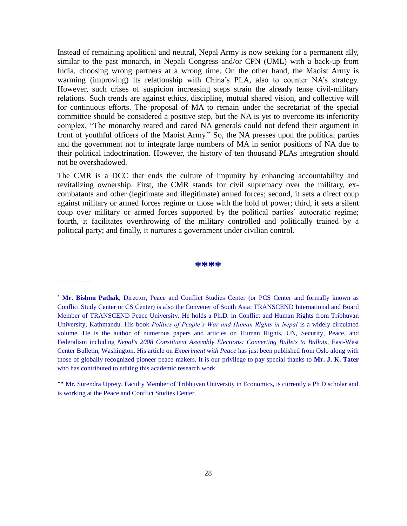Instead of remaining apolitical and neutral, Nepal Army is now seeking for a permanent ally, similar to the past monarch, in Nepali Congress and/or CPN (UML) with a back-up from India, choosing wrong partners at a wrong time. On the other hand, the Maoist Army is warming (improving) its relationship with China's PLA, also to counter NA's strategy. However, such crises of suspicion increasing steps strain the already tense civil-military relations. Such trends are against ethics, discipline, mutual shared vision, and collective will for continuous efforts. The proposal of MA to remain under the secretariat of the special committee should be considered a positive step, but the NA is yet to overcome its inferiority complex, "The monarchy reared and cared NA generals could not defend their argument in front of youthful officers of the Maoist Army." So, the NA presses upon the political parties and the government not to integrate large numbers of MA in senior positions of NA due to their political indoctrination. However, the history of ten thousand PLAs integration should not be overshadowed.

The CMR is a DCC that ends the culture of impunity by enhancing accountability and revitalizing ownership. First, the CMR stands for civil supremacy over the military, excombatants and other (legitimate and illegitimate) armed forces; second, it sets a direct coup against military or armed forces regime or those with the hold of power; third, it sets a silent coup over military or armed forces supported by the political parties' autocratic regime; fourth, it facilitates overthrowing of the military controlled and politically trained by a political party; and finally, it nurtures a government under civilian control.

#### **\*\*\*\***

-----------------

 **Mr. Bishnu Pathak**, Director, Peace and Conflict Studies Center (or PCS Center and formally known as Conflict Study Center or CS Center) is also the Convener of South Asia: TRANSCEND International and Board Member of TRANSCEND Peace University. He holds a Ph.D. in Conflict and Human Rights from Tribhuvan University, Kathmandu. His book *Politics of People"s War and Human Rights in Nepal* is a widely circulated volume. He is the author of numerous papers and articles on Human Rights, UN, Security, Peace, and Federalism including *Nepal's 2008 Constituent Assembly Elections: Converting Bullets to Ballots*, East-West Center Bulletin, Washington. His article on *Experiment with Peace* has just been published from Oslo along with those of globally recognized pioneer peace-makers. It is our privilege to pay special thanks to **Mr. J. K. Tater** who has contributed to editing this academic research work

\*\* Mr. Surendra Uprety, Faculty Member of Tribhuvan University in Economics, is currently a Ph D scholar and is working at the Peace and Conflict Studies Center.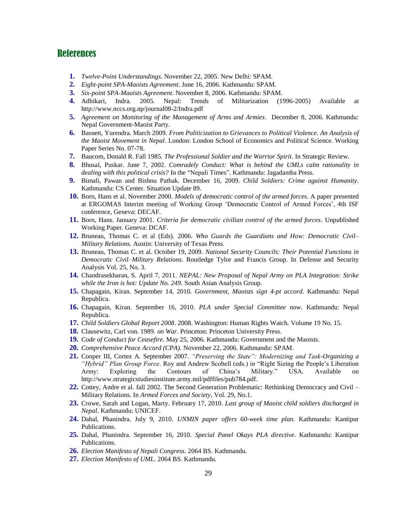## References

- **1.** *Twelve-Point Understandings*. November 22, 2005. New Delhi: SPAM.
- **2.** *Eight-point SPA-Maoists Agreement*. June 16, 2006. Kathmandu: SPAM.
- **3.** *Six-point SPA-Maoists Agreement*. November 8, 2006. Kathmandu: SPAM.
- **4.** Adhikari, Indra. 2005. Nepal: Trends of Militarization (1996-2005) Available at http://www.nccs.org.np/journal08-2/Indra.pdf
- **5.** *Agreement on Monitoring of the Management of Arms and Armies*. December 8, 2006. Kathmandu: Nepal Government-Maoist Party.
- **6.** Basnett, Yurendra. March 2009. *From Politicization to Grievances to Political Violence. An Analysis of the Maoist Movement in Nepal*. London: London School of Economics and Political Science. Working Paper Series No. 07-78.
- **7.** Baucom, Donald R. Fall 1985. *The Professional Soldier and the Warrior Spirit*. In Strategic Review.
- **8.** Bhusal, Puskar. June 7, 2002. *Comradely Conduct: What is behind the UMLs calm rationality in dealing with this political crisis?* In the "Nepali Times". Kathmandu: Jagadamba Press.
- **9.** Bimali, Pawan and Bishnu Pathak. December 16, 2009. *Child Soldiers: Crime against Humanity*. Kathmandu: CS Center. Situation Update 89.
- **10.** Born, Hans et al. November 2000. *Models of democratic control of the armed forces*. A paper presented at ERGOMAS Interim meeting of Working Group "Democratic Control of Armed Forces", 4th ISF conference, Geneva: DECAF.
- **11.** Born, Hans. January 2001. *Criteria for democratic civilian control of the armed forces*. Unpublished Working Paper. Geneva: DCAF.
- **12.** Bruneau, Thomas C. et al (Eds). 2006. *Who Guards the Guardians and How: Democratic Civil– Military Relations.* Austin: University of Texas Press.
- **13.** Bruneau, Thomas C. et al. October 19, 2009. *National Security Councils: Their Potential Functions in Democratic Civil–Military Relations*. Routledge Tylor and Francis Group. In Defense and Security Analysis Vol. 25, No. 3.
- **14.** Chandrasekharan, S. April 7, 2011. *NEPAL: New Proposal of Nepal Army on PLA Integration: Strike while the Iron is hot: Update No. 249*. South Asian Analysis Group.
- **15.** Chapagain, Kiran. September 14, 2010. *Government, Maoists sign 4-pt accord*. Kathmandu: Nepal Republica.
- **16.** Chapagain, Kiran. September 16, 2010. *PLA under Special Committee now*. Kathmandu: Nepal Republica.
- **17.** *Child Soldiers Global Report 2008*. 2008. Washington: Human Rights Watch*.* Volume 19 No. 15.
- **18.** Clausewitz, Carl von. 1989. *on War*. Princeton: Princeton University Press.
- **19.** *Code of Conduct for Ceasefire*. May 25, 2006. Kathmandu: Government and the Maoists.
- **20.** *Comprehensive Peace Accord (CPA)*. November 22, 2006. Kathmandu: SPAM.
- **21.** Cooper III, Cortez A. September 2007. *"Preserving the State": Modernizing and Task-Organizing a "Hybrid" Plan Group Force*. Roy and Andrew Scobell (eds.) in "Right Sizing the People"s Liberation Army: Exploring the Contours of China"s Military." USA. Available on http://www.strategicstudiesinstitute.army.mil/pdffiles/pub784.pdf.
- **22.** Cottey, Andre et al. fall 2002. The Second Generation Problematic: Rethinking Democracy and Civil Military Relations. In *Armed Forces and Society*, Vol. 29, No.1.
- **23.** Crowe, Sarah and Logan, Marty. February 17, 2010. *Last group of Maoist child soldiers discharged in Nepal*. Kathmandu: UNICEF.
- **24.** Dahal, Phanindra. July 9, 2010. *UNMIN paper offers 60-week time plan*. Kathmandu: Kantipur Publications.
- **25.** Dahal, Phanindra. September 16, 2010. *Special Panel Okays PLA directive*. Kathmandu: Kantipur Publications.
- **26.** *Election Manifesto of Nepali Congress*. 2064 BS. Kathmandu.
- **27.** *Election Manifesto of UML*. 2064 BS. Kathmandu.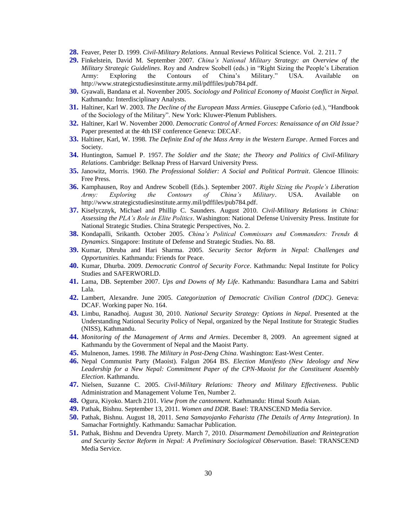- **28.** Feaver, Peter D. 1999. *Civil-Military Relations*. Annual Reviews Political Science. Vol. 2. 211. 7
- **29.** Finkelstein, David M. September 2007. *China"s National Military Strategy: an Overview of the Military Strategic Guidelines*. Roy and Andrew Scobell (eds.) in "Right Sizing the People"s Liberation Army: Exploring the Contours of China"s Military." USA. Available on http://www.strategicstudiesinstitute.army.mil/pdffiles/pub784.pdf.
- **30.** Gyawali, Bandana et al. November 2005. *Sociology and Political Economy of Maoist Conflict in Nepal.* Kathmandu: Interdisciplinary Analysts.
- **31.** Haltiner, Karl W. 2003. *The Decline of the European Mass Armies*. Giuseppe Caforio (ed.), "Handbook of the Sociology of the Military". New York: Kluwer-Plenum Publishers.
- **32.** Haltiner, Karl W. November 2000. *Democratic Control of Armed Forces: Renaissance of an Old Issue?*  Paper presented at the 4th ISF conference Geneva: DECAF.
- **33.** Haltiner, Karl, W. 1998. *The Definite End of the Mass Army in the Western Europe*. Armed Forces and Society.
- **34.** Huntington, Samuel P. 1957. *The Soldier and the State; the Theory and Politics of Civil-Military Relations*. Cambridge: Belknap Press of Harvard University Press.
- **35.** Janowitz, Morris. 1960. *The Professional Soldier: A Social and Political Portrait*. Glencoe Illinois: Free Press.
- **36.** Kamphausen, Roy and Andrew Scobell (Eds.). September 2007. *Right Sizing the People"s Liberation Army: Exploring the Contours of China"s Military*. USA. Available on http://www.strategicstudiesinstitute.army.mil/pdffiles/pub784.pdf.
- **37.** Kiselycznyk, Michael and Phillip C. Saunders. August 2010. *Civil-Military Relations in China: Assessing the PLA"s Role in Elite Politics*. Washington: National Defense University Press. Institute for National Strategic Studies. China Strategic Perspectives, No. 2.
- **38.** Kondapalli, Srikanth. October 2005. *China"s Political Commissars and Commanders: Trends & Dynamics.* Singapore: Institute of Defense and Strategic Studies. No. 88.
- **39.** Kumar, Dhruba and Hari Sharma. 2005. *Security Sector Reform in Nepal: Challenges and Opportunities.* Kathmandu: Friends for Peace.
- **40.** Kumar, Dhurba. 2009. *Democratic Control of Security Force*. Kathmandu: Nepal Institute for Policy Studies and SAFERWORLD.
- **41.** Lama, DB. September 2007. *Ups and Downs of My Life*. Kathmandu: Basundhara Lama and Sabitri Lala.
- **42.** Lambert, Alexandre. June 2005. *Categorization of Democratic Civilian Control (DDC)*. Geneva: DCAF. Working paper No. 164.
- **43.** Limbu, Ranadhoj. August 30, 2010. *National Security Strategy: Options in Nepal*. Presented at the Understanding National Security Policy of Nepal, organized by the Nepal Institute for Strategic Studies (NISS), Kathmandu.
- **44.** *Monitoring of the Management of Arms and Armies*. December 8, 2009. An agreement signed at Kathmandu by the Government of Nepal and the Maoist Party.
- **45.** Mulnenon, James. 1998. *The Military in Post-Deng China*. Washington: East-West Center.
- **46.** Nepal Communist Party (Maoist). Falgun 2064 BS. *Election Manifesto (New Ideology and New Leadership for a New Nepal: Commitment Paper of the CPN-Maoist for the Constituent Assembly Election*. Kathmandu.
- **47.** Nielsen, Suzanne C. 2005. *Civil-Military Relations: Theory and Military Effectiveness*. Public Administration and Management Volume Ten, Number 2.
- **48.** Ogura, Kiyoko. March 2101. *View from the cantonment*. Kathmandu: Himal South Asian.
- **49.** Pathak, Bishnu. September 13, 2011. *Women and DDR*. Basel: TRANSCEND Media Service.
- **50.** Pathak, Bishnu. August 18, 2011. *Sena Samayojanko Feharista (The Details of Army Integration)*. In Samachar Fortnightly. Kathmandu: Samachar Publication.
- **51.** Pathak, Bishnu and Devendra Uprety. March 7, 2010. *Disarmament Demobilization and Reintegration and Security Sector Reform in Nepal: A Preliminary Sociological Observation*. Basel: TRANSCEND Media Service.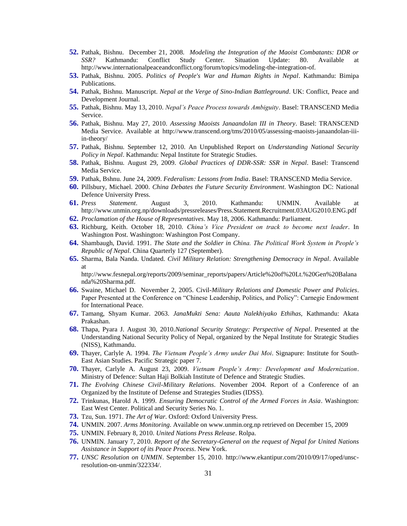- **52.** Pathak, Bishnu. December 21, 2008. *Modeling the Integration of the Maoist Combatants: DDR or SSR?* Kathmandu: Conflict Study Center. Situation Update: 80. Available at http://www.internationalpeaceandconflict.org/forum/topics/modeling-the-integration-of.
- **53.** Pathak, Bishnu. 2005. *Politics of People's War and Human Rights in Nepal*. Kathmandu: Bimipa Publications.
- **54.** Pathak, Bishnu. Manuscript. *Nepal at the Verge of Sino-Indian Battleground*. UK: Conflict, Peace and Development Journal.
- **55.** Pathak, Bishnu. May 13, 2010. *Nepal"s Peace Process towards Ambiguity*. Basel: TRANSCEND Media Service.
- **56.** Pathak, Bishnu. May 27, 2010. *Assessing Maoists Janaandolan III in Theory*. Basel: TRANSCEND Media Service. Available at http://www.transcend.org/tms/2010/05/assessing-maoists-janaandolan-iiiin-theory/
- **57.** Pathak, Bishnu. September 12, 2010. An Unpublished Report on *Understanding National Security Policy in Nepal*. Kathmandu: Nepal Institute for Strategic Studies.
- **58.** Pathak, Bishnu. August 29, 2009. *Global Practices of DDR-SSR: SSR in Nepal*. Basel: Transcend Media Service.
- **59.** Pathak, Bshnu. June 24, 2009. *Federalism: Lessons from India*. Basel: TRANSCEND Media Service.
- **60.** Pillsbury, Michael. 2000. *China Debates the Future Security Environment*. Washington DC: National Defence University Press.
- **61.** *Press Statement*. August 3, 2010. Kathmandu: UNMIN. Available at http://www.unmin.org.np/downloads/pressreleases/Press.Statement.Recruitment.03AUG2010.ENG.pdf
- **62.** *Proclamation of the House of Representatives*. May 18, 2006. Kathmandu: Parliament.
- **63.** Richburg, Keith. October 18, 2010. *China"s Vice President on track to become next leader*. In Washington Post. Washington: Washington Post Company.
- **64.** Shambaugh, David. 1991. *The State and the Soldier in China. The Political Work System in People"s Republic of Nepal*. China Quarterly 127 (September).
- **65.** Sharma, Bala Nanda. Undated. *Civil Military Relation: Strengthening Democracy in Nepal*. Available at

http://www.fesnepal.org/reports/2009/seminar\_reports/papers/Article%20of%20Lt.%20Gen%20Balana nda%20Sharma.pdf.

- **66.** Swaine, Michael D. November 2, 2005. Civil*-Military Relations and Domestic Power and Policies*. Paper Presented at the Conference on "Chinese Leadership, Politics, and Policy": Carnegie Endowment for International Peace.
- **67.** Tamang, Shyam Kumar. 2063. *JanaMukti Sena: Aauta Nalekhiyako Ethihas,* Kathmandu: Akata Prakashan.
- **68.** Thapa, Pyara J. August 30, 2010.*National Security Strategy: Perspective of Nepal*. Presented at the Understanding National Security Policy of Nepal, organized by the Nepal Institute for Strategic Studies (NISS), Kathmandu.
- **69.** Thayer, Carlyle A. 1994. *The Vietnam People"s Army under Dai Moi*. Signapure: Institute for South-East Asian Studies. Pacific Strategic paper 7.
- **70.** Thayer, Carlyle A. August 23, 2009. *Vietnam People"s Army: Development and Modernization*. Ministry of Defence: Sultan Haji Bolkiah Institute of Defence and Strategic Studies.
- **71.** *The Evolving Chinese Civil-Military Relations*. November 2004. Report of a Conference of an Organized by the Institute of Defense and Strategies Studies (IDSS).
- **72.** Trinkunas, Harold A. 1999. *Ensuring Democratic Control of the Armed Forces in Asia*. Washington: East West Center. Political and Security Series No. 1.
- **73.** Tzu, Sun. 1971. *The Art of War*. Oxford: Oxford University Press.
- **74.** UNMIN. 2007. *Arms Monitoring*. Available on www.unmin.org.np retrieved on December 15, 2009
- **75.** UNMIN. February 8, 2010. *United Nations Press Release*. Rolpa.
- **76.** UNMIN. January 7, 2010. *Report of the Secretary-General on the request of Nepal for United Nations Assistance in Support of its Peace Process*. New York.
- **77.** *UNSC Resolution on UNMIN*. September 15, 2010. http://www.ekantipur.com/2010/09/17/oped/unscresolution-on-unmin/322334/.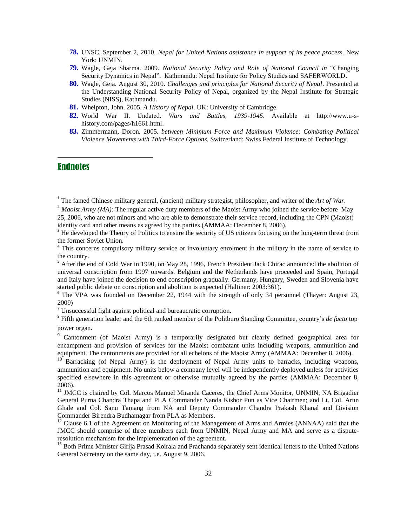- **78.** UNSC. September 2, 2010. *Nepal for United Nations assistance in support of its peace process.* New York: UNMIN.
- **79.** Wagle, Geja Sharma. 2009. *National Security Policy and Role of National Council in* "Changing Security Dynamics in Nepal". Kathmandu: Nepal Institute for Policy Studies and SAFERWORLD.
- **80.** Wagle, Geja. August 30, 2010. *Challenges and principles for National Security of Nepal*. Presented at the Understanding National Security Policy of Nepal, organized by the Nepal Institute for Strategic Studies (NISS), Kathmandu.
- **81.** Whelpton, John. 2005. *A History of Nepal*. UK: University of Cambridge.
- **82.** World War II. Undated. *Wars and Battles, 1939-1945*. Available at http://www.u-shistory.com/pages/h1661.html.
- **83.** Zimmermann, Doron. 2005. *between Minimum Force and Maximum Violence: Combating Political Violence Movements with Third-Force Options*. Switzerland: Swiss Federal Institute of Technology.

## **Endnotes**

 $\overline{a}$ 

<sup>1</sup> The famed Chinese military general, (ancient) military strategist, philosopher, and writer of the *Art of War*.

<sup>2</sup> *Maoist Army (MA)*: The regular active duty members of the Maoist Army who joined the service before May 25, 2006, who are not minors and who are able to demonstrate their service record, including the CPN (Maoist) identity card and other means as agreed by the parties (AMMAA: December 8, 2006).

<sup>3</sup> He developed the Theory of Politics to ensure the security of US citizens focusing on the long-term threat from the former Soviet Union.

<sup>4</sup> This concerns compulsory military service or involuntary enrolment in the military in the name of service to the country.

<sup>5</sup> After the end of Cold War in 1990, on May 28, 1996, French President Jack Chirac announced the abolition of universal conscription from 1997 onwards. Belgium and the Netherlands have proceeded and Spain, Portugal and Italy have joined the decision to end conscription gradually. Germany, Hungary, Sweden and Slovenia have started public debate on conscription and abolition is expected (Haltiner: 2003:361).

<sup>6</sup> The VPA was founded on December 22, 1944 with the strength of only 34 personnel (Thayer: August 23, 2009)

<sup>7</sup> Unsuccessful fight against political and bureaucratic corruption.

<sup>8</sup> Fifth generation leader and the 6th ranked member of the Politburo Standing Committee, country's *de facto* top power organ.

<sup>9</sup> Cantonment (of Maoist Army) is a temporarily designated but clearly defined geographical area for encampment and provision of services for the Maoist combatant units including weapons, ammunition and equipment. The cantonments are provided for all echelons of the Maoist Army (AMMAA: December 8, 2006).

<sup>10</sup> Barracking (of Nepal Army) is the deployment of Nepal Army units to barracks, including weapons, ammunition and equipment. No units below a company level will be independently deployed unless for activities specified elsewhere in this agreement or otherwise mutually agreed by the parties (AMMAA: December 8, 2006).

<sup>11</sup> JMCC is chaired by Col. Marcos Manuel Miranda Caceres, the Chief Arms Monitor, UNMIN; NA Brigadier General Purna Chandra Thapa and PLA Commander Nanda Kishor Pun as Vice Chairmen; and Lt. Col. Arun Ghale and Col. Sanu Tamang from NA and Deputy Commander Chandra Prakash Khanal and Division Commander Birendra Budhamagar from PLA as Members.

<sup>12</sup> Clause 6.1 of the Agreement on Monitoring of the Management of Arms and Armies (ANNAA) said that the JMCC should comprise of three members each from UNMIN, Nepal Army and MA and serve as a disputeresolution mechanism for the implementation of the agreement.

<sup>13</sup> Both Prime Minister Girija Prasad Koirala and Prachanda separately sent identical letters to the United Nations General Secretary on the same day, i.e. August 9, 2006.